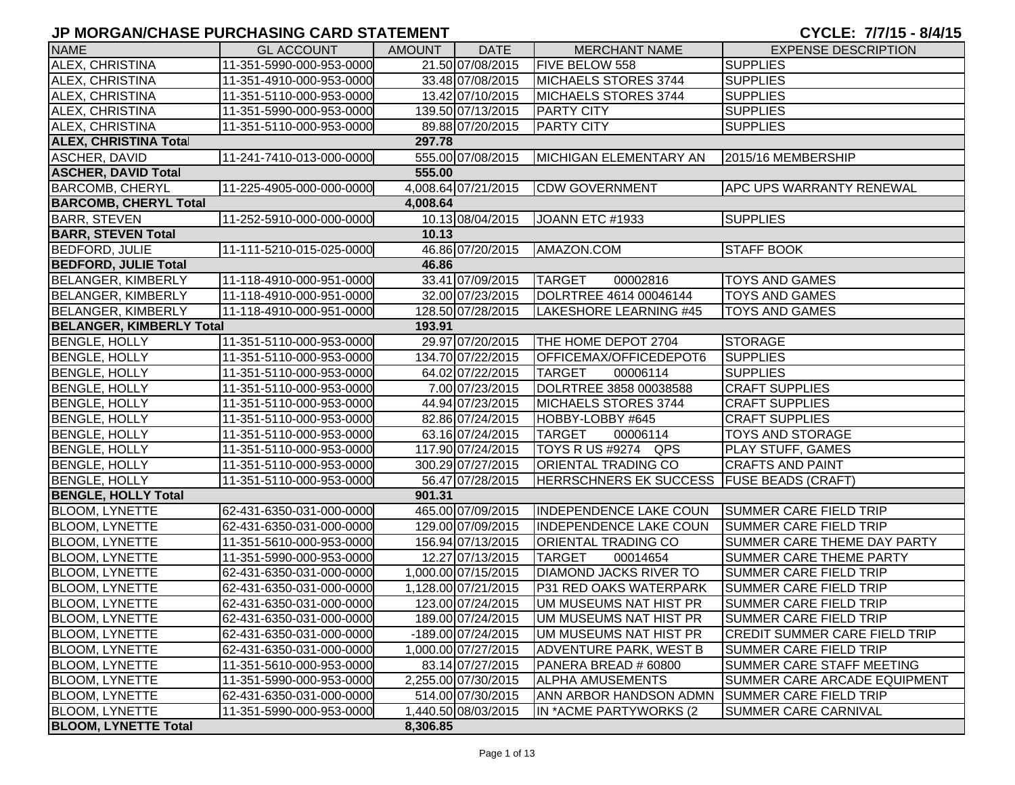| <b>NAME</b>                     | <b>GL ACCOUNT</b>        | AMOUNT   | <b>DATE</b>         | <b>MERCHANT NAME</b>                      | <b>EXPENSE DESCRIPTION</b>           |
|---------------------------------|--------------------------|----------|---------------------|-------------------------------------------|--------------------------------------|
| ALEX, CHRISTINA                 | 11-351-5990-000-953-0000 |          | 21.50 07/08/2015    | FIVE BELOW 558                            | <b>SUPPLIES</b>                      |
| ALEX, CHRISTINA                 | 11-351-4910-000-953-0000 |          | 33.48 07/08/2015    | MICHAELS STORES 3744                      | <b>SUPPLIES</b>                      |
| ALEX, CHRISTINA                 | 11-351-5110-000-953-0000 |          | 13.42 07/10/2015    | MICHAELS STORES 3744                      | <b>SUPPLIES</b>                      |
| ALEX, CHRISTINA                 | 11-351-5990-000-953-0000 |          | 139.50 07/13/2015   | <b>PARTY CITY</b>                         | <b>SUPPLIES</b>                      |
| ALEX, CHRISTINA                 | 11-351-5110-000-953-0000 |          | 89.88 07/20/2015    | <b>PARTY CITY</b>                         | <b>SUPPLIES</b>                      |
| <b>ALEX, CHRISTINA Total</b>    |                          | 297.78   |                     |                                           |                                      |
| ASCHER, DAVID                   | 11-241-7410-013-000-0000 |          | 555.00 07/08/2015   | MICHIGAN ELEMENTARY AN                    | 2015/16 MEMBERSHIP                   |
| <b>ASCHER, DAVID Total</b>      |                          | 555.00   |                     |                                           |                                      |
| <b>BARCOMB, CHERYL</b>          | 11-225-4905-000-000-0000 |          | 4,008.64 07/21/2015 | <b>CDW GOVERNMENT</b>                     | <b>APC UPS WARRANTY RENEWAL</b>      |
| <b>BARCOMB, CHERYL Total</b>    |                          | 4,008.64 |                     |                                           |                                      |
| <b>BARR, STEVEN</b>             | 11-252-5910-000-000-0000 |          | 10.13 08/04/2015    | JOANN ETC #1933                           | <b>SUPPLIES</b>                      |
| <b>BARR, STEVEN Total</b>       |                          | 10.13    |                     |                                           |                                      |
| <b>BEDFORD, JULIE</b>           | 11-111-5210-015-025-0000 |          | 46.86 07/20/2015    | AMAZON.COM                                | <b>STAFF BOOK</b>                    |
| <b>BEDFORD, JULIE Total</b>     |                          | 46.86    |                     |                                           |                                      |
| <b>BELANGER, KIMBERLY</b>       | 11-118-4910-000-951-0000 |          | 33.41 07/09/2015    | <b>TARGET</b><br>00002816                 | <b>TOYS AND GAMES</b>                |
| <b>BELANGER, KIMBERLY</b>       | 11-118-4910-000-951-0000 |          | 32.00 07/23/2015    | DOLRTREE 4614 00046144                    | <b>TOYS AND GAMES</b>                |
| <b>BELANGER, KIMBERLY</b>       | 11-118-4910-000-951-0000 |          | 128.50 07/28/2015   | LAKESHORE LEARNING #45                    | <b>TOYS AND GAMES</b>                |
| <b>BELANGER, KIMBERLY Total</b> |                          | 193.91   |                     |                                           |                                      |
| <b>BENGLE, HOLLY</b>            | 11-351-5110-000-953-0000 |          | 29.97 07/20/2015    | THE HOME DEPOT 2704                       | <b>STORAGE</b>                       |
| <b>BENGLE, HOLLY</b>            | 11-351-5110-000-953-0000 |          | 134.70 07/22/2015   | OFFICEMAX/OFFICEDEPOT6                    | <b>SUPPLIES</b>                      |
| <b>BENGLE, HOLLY</b>            | 11-351-5110-000-953-0000 |          | 64.02 07/22/2015    | <b>TARGET</b><br>00006114                 | <b>SUPPLIES</b>                      |
| <b>BENGLE, HOLLY</b>            | 11-351-5110-000-953-0000 |          | 7.00 07/23/2015     | DOLRTREE 3858 00038588                    | <b>CRAFT SUPPLIES</b>                |
| <b>BENGLE, HOLLY</b>            | 11-351-5110-000-953-0000 |          | 44.94 07/23/2015    | MICHAELS STORES 3744                      | <b>CRAFT SUPPLIES</b>                |
| <b>BENGLE, HOLLY</b>            | 11-351-5110-000-953-0000 |          | 82.86 07/24/2015    | HOBBY-LOBBY #645                          | <b>CRAFT SUPPLIES</b>                |
| <b>BENGLE, HOLLY</b>            | 11-351-5110-000-953-0000 |          | 63.16 07/24/2015    | <b>TARGET</b><br>00006114                 | <b>TOYS AND STORAGE</b>              |
| <b>BENGLE, HOLLY</b>            | 11-351-5110-000-953-0000 |          | 117.90 07/24/2015   | TOYS R US #9274 QPS                       | <b>PLAY STUFF, GAMES</b>             |
| <b>BENGLE, HOLLY</b>            | 11-351-5110-000-953-0000 |          | 300.29 07/27/2015   | <b>ORIENTAL TRADING CO</b>                | <b>CRAFTS AND PAINT</b>              |
| <b>BENGLE, HOLLY</b>            | 11-351-5110-000-953-0000 |          | 56.47 07/28/2015    | HERRSCHNERS EK SUCCESS FUSE BEADS (CRAFT) |                                      |
| <b>BENGLE, HOLLY Total</b>      |                          | 901.31   |                     |                                           |                                      |
| <b>BLOOM, LYNETTE</b>           | 62-431-6350-031-000-0000 |          | 465.00 07/09/2015   | <b>INDEPENDENCE LAKE COUN</b>             | <b>SUMMER CARE FIELD TRIP</b>        |
| <b>BLOOM, LYNETTE</b>           | 62-431-6350-031-000-0000 |          | 129.00 07/09/2015   | <b>INDEPENDENCE LAKE COUN</b>             | <b>SUMMER CARE FIELD TRIP</b>        |
| <b>BLOOM, LYNETTE</b>           | 11-351-5610-000-953-0000 |          | 156.94 07/13/2015   | <b>ORIENTAL TRADING CO</b>                | <b>SUMMER CARE THEME DAY PARTY</b>   |
| <b>BLOOM, LYNETTE</b>           | 11-351-5990-000-953-0000 |          | 12.27 07/13/2015    | <b>TARGET</b><br>00014654                 | <b>SUMMER CARE THEME PARTY</b>       |
| <b>BLOOM, LYNETTE</b>           | 62-431-6350-031-000-0000 |          | 1,000.00 07/15/2015 | <b>DIAMOND JACKS RIVER TO</b>             | SUMMER CARE FIELD TRIP               |
| BLOOM, LYNETTE                  | 62-431-6350-031-000-0000 |          | 1,128.00 07/21/2015 | P31 RED OAKS WATERPARK                    | SUMMER CARE FIELD TRIP               |
| BLOOM, LYNETTE                  | 62-431-6350-031-000-0000 |          | 123.00 07/24/2015   | UM MUSEUMS NAT HIST PR                    | SUMMER CARE FIELD TRIP               |
| <b>BLOOM, LYNETTE</b>           | 62-431-6350-031-000-0000 |          | 189.00 07/24/2015   | UM MUSEUMS NAT HIST PR                    | <b>SUMMER CARE FIELD TRIP</b>        |
| <b>BLOOM, LYNETTE</b>           | 62-431-6350-031-000-0000 |          | -189.00 07/24/2015  | UM MUSEUMS NAT HIST PR                    | <b>CREDIT SUMMER CARE FIELD TRIP</b> |
| <b>BLOOM, LYNETTE</b>           | 62-431-6350-031-000-0000 |          | 1,000.00 07/27/2015 | <b>ADVENTURE PARK, WEST B</b>             | SUMMER CARE FIELD TRIP               |
| <b>BLOOM, LYNETTE</b>           | 11-351-5610-000-953-0000 |          | 83.14 07/27/2015    | PANERA BREAD # 60800                      | <b>SUMMER CARE STAFF MEETING</b>     |
| <b>BLOOM, LYNETTE</b>           | 11-351-5990-000-953-0000 |          | 2,255.00 07/30/2015 | <b>ALPHA AMUSEMENTS</b>                   | SUMMER CARE ARCADE EQUIPMENT         |
| <b>BLOOM, LYNETTE</b>           | 62-431-6350-031-000-0000 |          | 514.00 07/30/2015   | ANN ARBOR HANDSON ADMN                    | <b>SUMMER CARE FIELD TRIP</b>        |
| <b>BLOOM, LYNETTE</b>           | 11-351-5990-000-953-0000 |          | 1,440.50 08/03/2015 | IN *ACME PARTYWORKS (2                    | <b>SUMMER CARE CARNIVAL</b>          |
| <b>BLOOM, LYNETTE Total</b>     |                          | 8,306.85 |                     |                                           |                                      |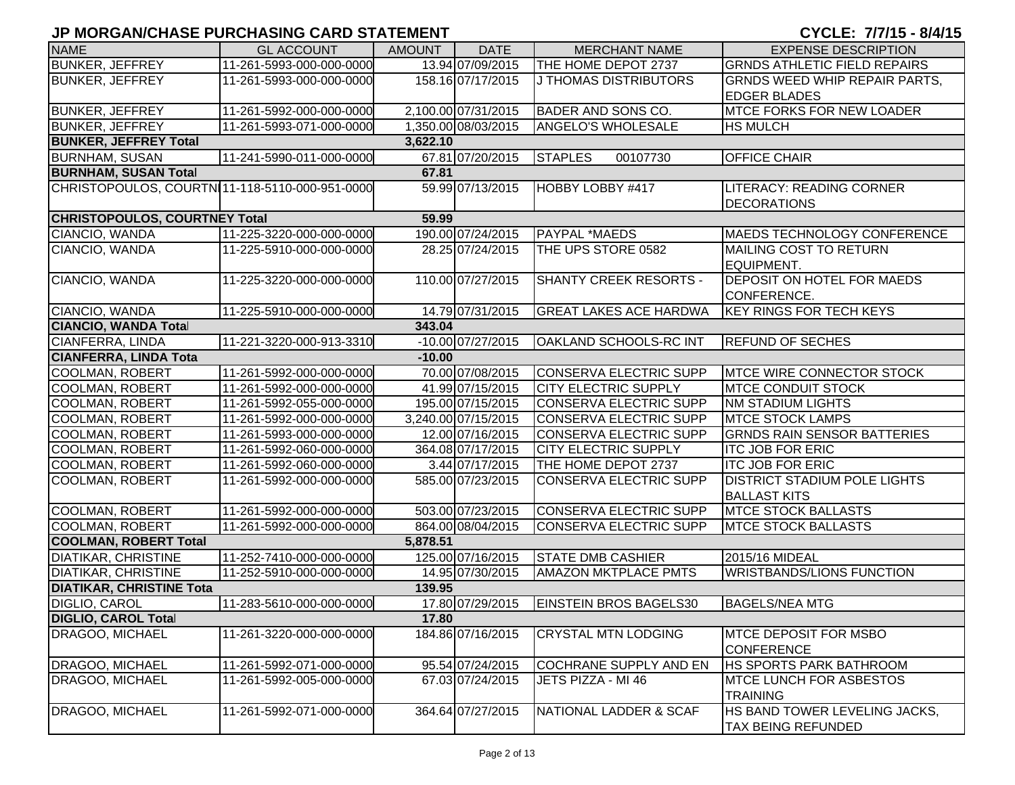| <b>NAME</b>                                    | <b>GL ACCOUNT</b>        | <b>AMOUNT</b> | <b>DATE</b>         | <b>MERCHANT NAME</b>          | <b>EXPENSE DESCRIPTION</b>                                 |
|------------------------------------------------|--------------------------|---------------|---------------------|-------------------------------|------------------------------------------------------------|
| <b>BUNKER, JEFFREY</b>                         | 11-261-5993-000-000-0000 |               | 13.94 07/09/2015    | THE HOME DEPOT 2737           | <b>GRNDS ATHLETIC FIELD REPAIRS</b>                        |
| <b>BUNKER, JEFFREY</b>                         | 11-261-5993-000-000-0000 |               | 158.16 07/17/2015   | J THOMAS DISTRIBUTORS         | GRNDS WEED WHIP REPAIR PARTS,                              |
|                                                |                          |               |                     |                               | <b>EDGER BLADES</b>                                        |
| <b>BUNKER, JEFFREY</b>                         | 11-261-5992-000-000-0000 |               | 2,100.00 07/31/2015 | <b>BADER AND SONS CO.</b>     | <b>MTCE FORKS FOR NEW LOADER</b>                           |
| <b>BUNKER, JEFFREY</b>                         | 11-261-5993-071-000-0000 |               | 1,350.00 08/03/2015 | <b>ANGELO'S WHOLESALE</b>     | <b>HS MULCH</b>                                            |
| <b>BUNKER, JEFFREY Total</b>                   |                          | 3,622.10      |                     |                               |                                                            |
| <b>BURNHAM, SUSAN</b>                          | 11-241-5990-011-000-0000 |               | 67.81 07/20/2015    | <b>STAPLES</b><br>00107730    | <b>OFFICE CHAIR</b>                                        |
| <b>BURNHAM, SUSAN Total</b>                    |                          | 67.81         |                     |                               |                                                            |
| CHRISTOPOULOS, COURTN 11-118-5110-000-951-0000 |                          |               | 59.99 07/13/2015    | HOBBY LOBBY #417              | <b>LITERACY: READING CORNER</b>                            |
|                                                |                          |               |                     |                               | <b>DECORATIONS</b>                                         |
| <b>CHRISTOPOULOS, COURTNEY Total</b>           |                          | 59.99         |                     |                               |                                                            |
| CIANCIO, WANDA                                 | 11-225-3220-000-000-0000 |               | 190.00 07/24/2015   | PAYPAL *MAEDS                 | <b>MAEDS TECHNOLOGY CONFERENCE</b>                         |
| CIANCIO, WANDA                                 | 11-225-5910-000-000-0000 |               | 28.25 07/24/2015    | THE UPS STORE 0582            | MAILING COST TO RETURN<br>EQUIPMENT.                       |
| CIANCIO, WANDA                                 | 11-225-3220-000-000-0000 |               | 110.00 07/27/2015   | <b>SHANTY CREEK RESORTS -</b> | <b>DEPOSIT ON HOTEL FOR MAEDS</b><br>CONFERENCE.           |
| CIANCIO, WANDA                                 | 11-225-5910-000-000-0000 |               | 14.79 07/31/2015    | <b>GREAT LAKES ACE HARDWA</b> | <b>KEY RINGS FOR TECH KEYS</b>                             |
| <b>CIANCIO, WANDA Total</b>                    |                          | 343.04        |                     |                               |                                                            |
| CIANFERRA, LINDA                               | 11-221-3220-000-913-3310 |               | -10.00 07/27/2015   | <b>OAKLAND SCHOOLS-RC INT</b> | <b>REFUND OF SECHES</b>                                    |
| <b>CIANFERRA, LINDA Tota</b>                   |                          | $-10.00$      |                     |                               |                                                            |
| <b>COOLMAN, ROBERT</b>                         | 11-261-5992-000-000-0000 |               | 70.00 07/08/2015    | CONSERVA ELECTRIC SUPP        | <b>IMTCE WIRE CONNECTOR STOCK</b>                          |
| <b>COOLMAN, ROBERT</b>                         | 11-261-5992-000-000-0000 |               | 41.99 07/15/2015    | <b>CITY ELECTRIC SUPPLY</b>   | <b>MTCE CONDUIT STOCK</b>                                  |
| <b>COOLMAN, ROBERT</b>                         | 11-261-5992-055-000-0000 |               | 195.00 07/15/2015   | CONSERVA ELECTRIC SUPP        | <b>NM STADIUM LIGHTS</b>                                   |
| <b>COOLMAN, ROBERT</b>                         | 11-261-5992-000-000-0000 |               | 3,240.00 07/15/2015 | CONSERVA ELECTRIC SUPP        | <b>MTCE STOCK LAMPS</b>                                    |
| <b>COOLMAN, ROBERT</b>                         | 11-261-5993-000-000-0000 |               | 12.00 07/16/2015    | CONSERVA ELECTRIC SUPP        | <b>GRNDS RAIN SENSOR BATTERIES</b>                         |
| <b>COOLMAN, ROBERT</b>                         | 11-261-5992-060-000-0000 |               | 364.08 07/17/2015   | <b>CITY ELECTRIC SUPPLY</b>   | <b>ITC JOB FOR ERIC</b>                                    |
| <b>COOLMAN, ROBERT</b>                         | 11-261-5992-060-000-0000 |               | 3.44 07/17/2015     | THE HOME DEPOT 2737           | <b>ITC JOB FOR ERIC</b>                                    |
| <b>COOLMAN, ROBERT</b>                         | 11-261-5992-000-000-0000 |               | 585.00 07/23/2015   | <b>CONSERVA ELECTRIC SUPP</b> | <b>DISTRICT STADIUM POLE LIGHTS</b><br><b>BALLAST KITS</b> |
| <b>COOLMAN, ROBERT</b>                         | 11-261-5992-000-000-0000 |               | 503.00 07/23/2015   | CONSERVA ELECTRIC SUPP        | <b>MTCE STOCK BALLASTS</b>                                 |
| <b>COOLMAN, ROBERT</b>                         | 11-261-5992-000-000-0000 |               | 864.00 08/04/2015   | CONSERVA ELECTRIC SUPP        | <b>MTCE STOCK BALLASTS</b>                                 |
| <b>COOLMAN, ROBERT Total</b>                   |                          | 5,878.51      |                     |                               |                                                            |
| <b>DIATIKAR, CHRISTINE</b>                     | 11-252-7410-000-000-0000 |               | 125.00 07/16/2015   | <b>STATE DMB CASHIER</b>      | 2015/16 MIDEAL                                             |
| <b>DIATIKAR, CHRISTINE</b>                     | 11-252-5910-000-000-0000 |               | 14.95 07/30/2015    | <b>AMAZON MKTPLACE PMTS</b>   | <b>WRISTBANDS/LIONS FUNCTION</b>                           |
| <b>DIATIKAR, CHRISTINE Tota</b>                |                          | 139.95        |                     |                               |                                                            |
| <b>DIGLIO, CAROL</b>                           | 11-283-5610-000-000-0000 |               | 17.80 07/29/2015    | <b>EINSTEIN BROS BAGELS30</b> | <b>BAGELS/NEA MTG</b>                                      |
| <b>DIGLIO, CAROL Total</b>                     |                          | 17.80         |                     |                               |                                                            |
| DRAGOO, MICHAEL                                | 11-261-3220-000-000-0000 |               | 184.86 07/16/2015   | <b>CRYSTAL MTN LODGING</b>    | <b>MTCE DEPOSIT FOR MSBO</b><br><b>CONFERENCE</b>          |
| DRAGOO, MICHAEL                                | 11-261-5992-071-000-0000 |               | 95.54 07/24/2015    | <b>COCHRANE SUPPLY AND EN</b> | <b>HS SPORTS PARK BATHROOM</b>                             |
| DRAGOO, MICHAEL                                | 11-261-5992-005-000-0000 |               | 67.03 07/24/2015    | JETS PIZZA - MI 46            | <b>MTCE LUNCH FOR ASBESTOS</b><br><b>TRAINING</b>          |
| DRAGOO, MICHAEL                                | 11-261-5992-071-000-0000 |               | 364.64 07/27/2015   | NATIONAL LADDER & SCAF        | HS BAND TOWER LEVELING JACKS,<br><b>TAX BEING REFUNDED</b> |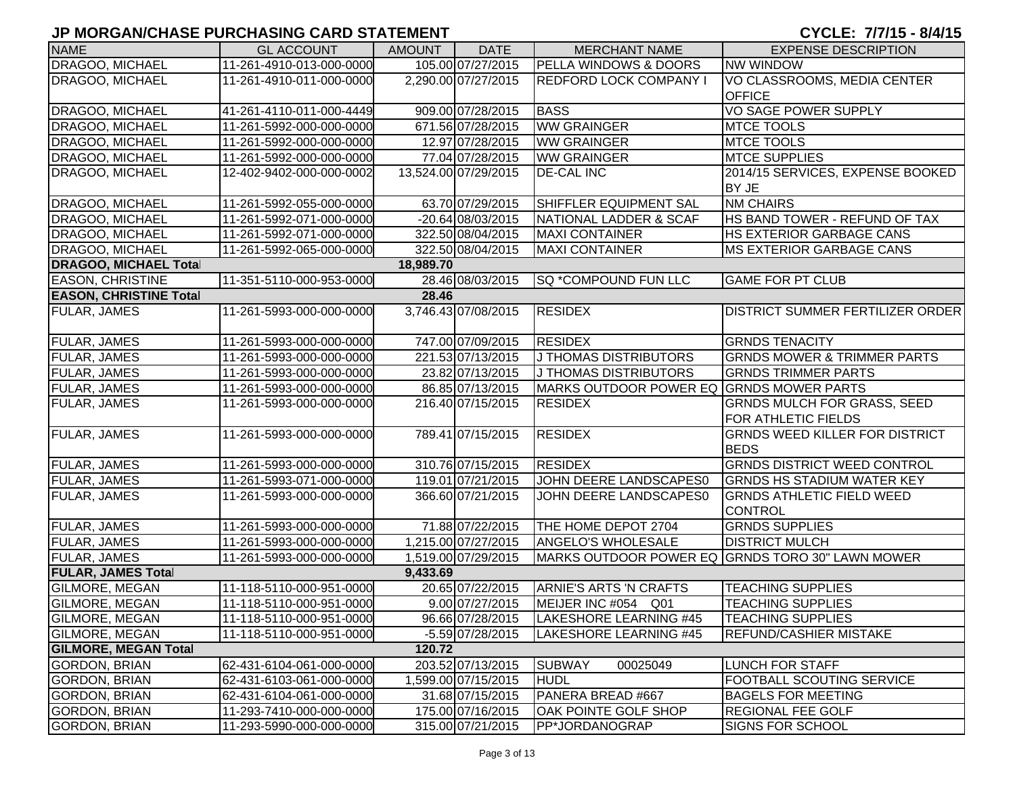| <b>NAME</b>                   | <b>GL ACCOUNT</b>        | <b>AMOUNT</b> | <b>DATE</b>          | <b>MERCHANT NAME</b>                     | <b>EXPENSE DESCRIPTION</b>                           |
|-------------------------------|--------------------------|---------------|----------------------|------------------------------------------|------------------------------------------------------|
| DRAGOO, MICHAEL               | 11-261-4910-013-000-0000 |               | 105.00 07/27/2015    | <b>PELLA WINDOWS &amp; DOORS</b>         | <b>NW WINDOW</b>                                     |
| DRAGOO, MICHAEL               | 11-261-4910-011-000-0000 |               | 2,290.00 07/27/2015  | <b>REDFORD LOCK COMPANY I</b>            | VO CLASSROOMS, MEDIA CENTER<br><b>OFFICE</b>         |
| DRAGOO, MICHAEL               | 41-261-4110-011-000-4449 |               | 909.00 07/28/2015    | <b>BASS</b>                              | VO SAGE POWER SUPPLY                                 |
| DRAGOO, MICHAEL               | 11-261-5992-000-000-0000 |               | 671.56 07/28/2015    | <b>WW GRAINGER</b>                       | <b>MTCE TOOLS</b>                                    |
| DRAGOO, MICHAEL               | 11-261-5992-000-000-0000 |               | 12.97 07/28/2015     | <b>WW GRAINGER</b>                       | <b>MTCE TOOLS</b>                                    |
| DRAGOO, MICHAEL               | 11-261-5992-000-000-0000 |               | 77.04 07/28/2015     | <b>WW GRAINGER</b>                       | <b>MTCE SUPPLIES</b>                                 |
| DRAGOO, MICHAEL               | 12-402-9402-000-000-0002 |               | 13,524.00 07/29/2015 | <b>DE-CAL INC</b>                        | 2014/15 SERVICES, EXPENSE BOOKED<br>BY JE            |
| DRAGOO, MICHAEL               | 11-261-5992-055-000-0000 |               | 63.70 07/29/2015     | SHIFFLER EQUIPMENT SAL                   | <b>NM CHAIRS</b>                                     |
| DRAGOO, MICHAEL               | 11-261-5992-071-000-0000 |               | $-20.64$ 08/03/2015  | NATIONAL LADDER & SCAF                   | HS BAND TOWER - REFUND OF TAX                        |
| DRAGOO, MICHAEL               | 11-261-5992-071-000-0000 |               | 322.50 08/04/2015    | <b>MAXI CONTAINER</b>                    | <b>HS EXTERIOR GARBAGE CANS</b>                      |
| DRAGOO, MICHAEL               | 11-261-5992-065-000-0000 |               | 322.50 08/04/2015    | <b>MAXI CONTAINER</b>                    | <b>MS EXTERIOR GARBAGE CANS</b>                      |
| <b>DRAGOO, MICHAEL Total</b>  |                          | 18,989.70     |                      |                                          |                                                      |
| <b>EASON, CHRISTINE</b>       | 11-351-5110-000-953-0000 |               | 28.46 08/03/2015     | <b>SQ *COMPOUND FUN LLC</b>              | <b>GAME FOR PT CLUB</b>                              |
| <b>EASON, CHRISTINE Total</b> |                          | 28.46         |                      |                                          |                                                      |
| <b>FULAR, JAMES</b>           | 11-261-5993-000-000-0000 |               | 3,746.43 07/08/2015  | <b>RESIDEX</b>                           | <b>DISTRICT SUMMER FERTILIZER ORDER</b>              |
| FULAR, JAMES                  | 11-261-5993-000-000-0000 |               | 747.00 07/09/2015    | <b>RESIDEX</b>                           | <b>GRNDS TENACITY</b>                                |
| FULAR, JAMES                  | 11-261-5993-000-000-0000 |               | 221.53 07/13/2015    | J THOMAS DISTRIBUTORS                    | <b>GRNDS MOWER &amp; TRIMMER PARTS</b>               |
| FULAR, JAMES                  | 11-261-5993-000-000-0000 |               | 23.82 07/13/2015     | J THOMAS DISTRIBUTORS                    | <b>GRNDS TRIMMER PARTS</b>                           |
| <b>FULAR, JAMES</b>           | 11-261-5993-000-000-0000 |               | 86.85 07/13/2015     | MARKS OUTDOOR POWER EQ GRNDS MOWER PARTS |                                                      |
| <b>FULAR, JAMES</b>           | 11-261-5993-000-000-0000 |               | 216.40 07/15/2015    | <b>RESIDEX</b>                           | <b>GRNDS MULCH FOR GRASS, SEED</b>                   |
|                               |                          |               |                      |                                          | <b>FOR ATHLETIC FIELDS</b>                           |
| <b>FULAR, JAMES</b>           | 11-261-5993-000-000-0000 |               | 789.41 07/15/2015    | <b>RESIDEX</b>                           | <b>GRNDS WEED KILLER FOR DISTRICT</b><br><b>BEDS</b> |
| FULAR, JAMES                  | 11-261-5993-000-000-0000 |               | 310.76 07/15/2015    | <b>RESIDEX</b>                           | <b>GRNDS DISTRICT WEED CONTROL</b>                   |
| <b>FULAR, JAMES</b>           | 11-261-5993-071-000-0000 |               | 119.01 07/21/2015    | JOHN DEERE LANDSCAPES0                   | <b>GRNDS HS STADIUM WATER KEY</b>                    |
| <b>FULAR, JAMES</b>           | 11-261-5993-000-000-0000 |               | 366.60 07/21/2015    | JOHN DEERE LANDSCAPES0                   | <b>GRNDS ATHLETIC FIELD WEED</b><br><b>CONTROL</b>   |
| FULAR, JAMES                  | 11-261-5993-000-000-0000 |               | 71.88 07/22/2015     | THE HOME DEPOT 2704                      | <b>GRNDS SUPPLIES</b>                                |
| FULAR, JAMES                  | 11-261-5993-000-000-0000 |               | 1,215.00 07/27/2015  | <b>ANGELO'S WHOLESALE</b>                | <b>DISTRICT MULCH</b>                                |
| <b>FULAR, JAMES</b>           | 11-261-5993-000-000-0000 |               | 1,519.00 07/29/2015  |                                          | MARKS OUTDOOR POWER EQ GRNDS TORO 30" LAWN MOWER     |
| <b>FULAR, JAMES Total</b>     |                          | 9,433.69      |                      |                                          |                                                      |
| <b>GILMORE, MEGAN</b>         | 11-118-5110-000-951-0000 |               | 20.65 07/22/2015     | <b>ARNIE'S ARTS 'N CRAFTS</b>            | <b>TEACHING SUPPLIES</b>                             |
| <b>GILMORE, MEGAN</b>         | 11-118-5110-000-951-0000 |               | 9.00 07/27/2015      | MEIJER INC #054 Q01                      | <b>TEACHING SUPPLIES</b>                             |
| <b>GILMORE, MEGAN</b>         | 11-118-5110-000-951-0000 |               | 96.66 07/28/2015     | LAKESHORE LEARNING #45                   | <b>TEACHING SUPPLIES</b>                             |
| <b>GILMORE, MEGAN</b>         | 11-118-5110-000-951-0000 |               | -5.59 07/28/2015     | LAKESHORE LEARNING #45                   | <b>REFUND/CASHIER MISTAKE</b>                        |
| <b>GILMORE, MEGAN Total</b>   |                          | 120.72        |                      |                                          |                                                      |
| <b>GORDON, BRIAN</b>          | 62-431-6104-061-000-0000 |               | 203.52 07/13/2015    | <b>SUBWAY</b><br>00025049                | LUNCH FOR STAFF                                      |
| GORDON, BRIAN                 | 62-431-6103-061-000-0000 |               | 1,599.00 07/15/2015  | <b>HUDL</b>                              | FOOTBALL SCOUTING SERVICE                            |
| GORDON, BRIAN                 | 62-431-6104-061-000-0000 |               | 31.68 07/15/2015     | PANERA BREAD #667                        | <b>BAGELS FOR MEETING</b>                            |
| <b>GORDON, BRIAN</b>          | 11-293-7410-000-000-0000 |               | 175.00 07/16/2015    | OAK POINTE GOLF SHOP                     | <b>REGIONAL FEE GOLF</b>                             |
| <b>GORDON, BRIAN</b>          | 11-293-5990-000-000-0000 |               | 315.00 07/21/2015    | PP*JORDANOGRAP                           | SIGNS FOR SCHOOL                                     |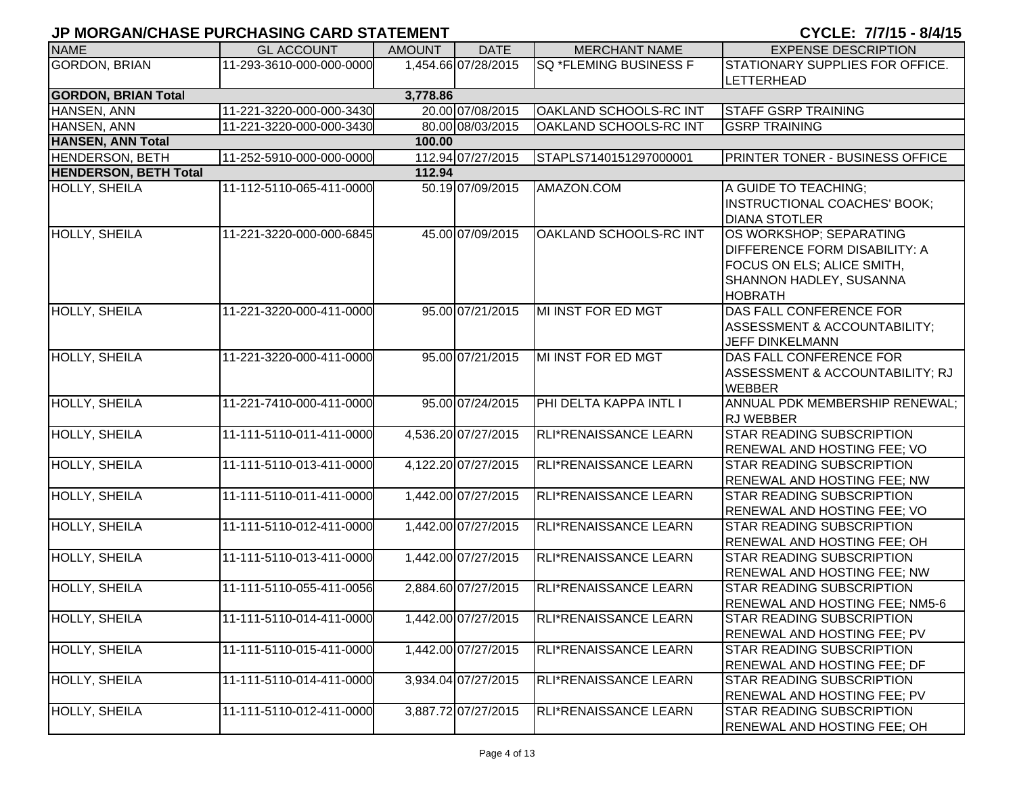|                              | , .,                     |               |                     |                               |                                                                                                                                            |
|------------------------------|--------------------------|---------------|---------------------|-------------------------------|--------------------------------------------------------------------------------------------------------------------------------------------|
| <b>NAME</b>                  | <b>GL ACCOUNT</b>        | <b>AMOUNT</b> | <b>DATE</b>         | <b>MERCHANT NAME</b>          | <b>EXPENSE DESCRIPTION</b>                                                                                                                 |
| <b>GORDON, BRIAN</b>         | 11-293-3610-000-000-0000 |               | 1,454.66 07/28/2015 | SQ *FLEMING BUSINESS F        | STATIONARY SUPPLIES FOR OFFICE.                                                                                                            |
|                              |                          |               |                     |                               | <b>LETTERHEAD</b>                                                                                                                          |
| <b>GORDON, BRIAN Total</b>   |                          | 3,778.86      |                     |                               |                                                                                                                                            |
| HANSEN, ANN                  | 11-221-3220-000-000-3430 |               | 20.00 07/08/2015    | <b>OAKLAND SCHOOLS-RC INT</b> | <b>STAFF GSRP TRAINING</b>                                                                                                                 |
| HANSEN, ANN                  | 11-221-3220-000-000-3430 |               | 80.00 08/03/2015    | <b>OAKLAND SCHOOLS-RC INT</b> | <b>GSRP TRAINING</b>                                                                                                                       |
| <b>HANSEN, ANN Total</b>     |                          | 100.00        |                     |                               |                                                                                                                                            |
| <b>HENDERSON, BETH</b>       | 11-252-5910-000-000-0000 |               | 112.94 07/27/2015   | STAPLS7140151297000001        | <b>PRINTER TONER - BUSINESS OFFICE</b>                                                                                                     |
| <b>HENDERSON, BETH Total</b> |                          | 112.94        |                     |                               |                                                                                                                                            |
| HOLLY, SHEILA                | 11-112-5110-065-411-0000 |               | 50.19 07/09/2015    | AMAZON.COM                    | A GUIDE TO TEACHING;<br><b>INSTRUCTIONAL COACHES' BOOK;</b><br><b>DIANA STOTLER</b>                                                        |
| HOLLY, SHEILA                | 11-221-3220-000-000-6845 |               | 45.00 07/09/2015    | OAKLAND SCHOOLS-RC INT        | OS WORKSHOP; SEPARATING<br><b>DIFFERENCE FORM DISABILITY: A</b><br>FOCUS ON ELS; ALICE SMITH,<br>SHANNON HADLEY, SUSANNA<br><b>HOBRATH</b> |
| <b>HOLLY, SHEILA</b>         | 11-221-3220-000-411-0000 |               | 95.00 07/21/2015    | MI INST FOR ED MGT            | DAS FALL CONFERENCE FOR<br>ASSESSMENT & ACCOUNTABILITY;<br><b>JEFF DINKELMANN</b>                                                          |
| HOLLY, SHEILA                | 11-221-3220-000-411-0000 |               | 95.00 07/21/2015    | MI INST FOR ED MGT            | DAS FALL CONFERENCE FOR<br>ASSESSMENT & ACCOUNTABILITY; RJ<br><b>WEBBER</b>                                                                |
| <b>HOLLY, SHEILA</b>         | 11-221-7410-000-411-0000 |               | 95.00 07/24/2015    | PHI DELTA KAPPA INTL I        | ANNUAL PDK MEMBERSHIP RENEWAL;<br><b>RJ WEBBER</b>                                                                                         |
| <b>HOLLY, SHEILA</b>         | 11-111-5110-011-411-0000 |               | 4,536.20 07/27/2015 | RLI*RENAISSANCE LEARN         | <b>STAR READING SUBSCRIPTION</b><br>RENEWAL AND HOSTING FEE; VO                                                                            |
| <b>HOLLY, SHEILA</b>         | 11-111-5110-013-411-0000 |               | 4,122.20 07/27/2015 | RLI*RENAISSANCE LEARN         | <b>STAR READING SUBSCRIPTION</b><br><b>RENEWAL AND HOSTING FEE; NW</b>                                                                     |
| HOLLY, SHEILA                | 11-111-5110-011-411-0000 |               | 1,442.00 07/27/2015 | RLI*RENAISSANCE LEARN         | <b>STAR READING SUBSCRIPTION</b><br>RENEWAL AND HOSTING FEE; VO                                                                            |
| HOLLY, SHEILA                | 11-111-5110-012-411-0000 |               | 1,442.00 07/27/2015 | RLI*RENAISSANCE LEARN         | <b>STAR READING SUBSCRIPTION</b><br>RENEWAL AND HOSTING FEE; OH                                                                            |
| HOLLY, SHEILA                | 11-111-5110-013-411-0000 |               | 1,442.00 07/27/2015 | RLI*RENAISSANCE LEARN         | <b>STAR READING SUBSCRIPTION</b><br><b>RENEWAL AND HOSTING FEE; NW</b>                                                                     |
| HOLLY, SHEILA                | 11-111-5110-055-411-0056 |               | 2,884.60 07/27/2015 | RLI*RENAISSANCE LEARN         | <b>STAR READING SUBSCRIPTION</b><br>RENEWAL AND HOSTING FEE; NM5-6                                                                         |
| <b>HOLLY, SHEILA</b>         | 11-111-5110-014-411-0000 |               | 1,442.00 07/27/2015 | RLI*RENAISSANCE LEARN         | <b>STAR READING SUBSCRIPTION</b><br>RENEWAL AND HOSTING FEE; PV                                                                            |
| HOLLY, SHEILA                | 11-111-5110-015-411-0000 |               | 1,442.00 07/27/2015 | RLI*RENAISSANCE LEARN         | <b>STAR READING SUBSCRIPTION</b><br>RENEWAL AND HOSTING FEE; DF                                                                            |
| HOLLY, SHEILA                | 11-111-5110-014-411-0000 |               | 3,934.04 07/27/2015 | RLI*RENAISSANCE LEARN         | <b>STAR READING SUBSCRIPTION</b><br>RENEWAL AND HOSTING FEE; PV                                                                            |
| HOLLY, SHEILA                | 11-111-5110-012-411-0000 |               | 3,887.72 07/27/2015 | RLI*RENAISSANCE LEARN         | <b>STAR READING SUBSCRIPTION</b><br>RENEWAL AND HOSTING FEE; OH                                                                            |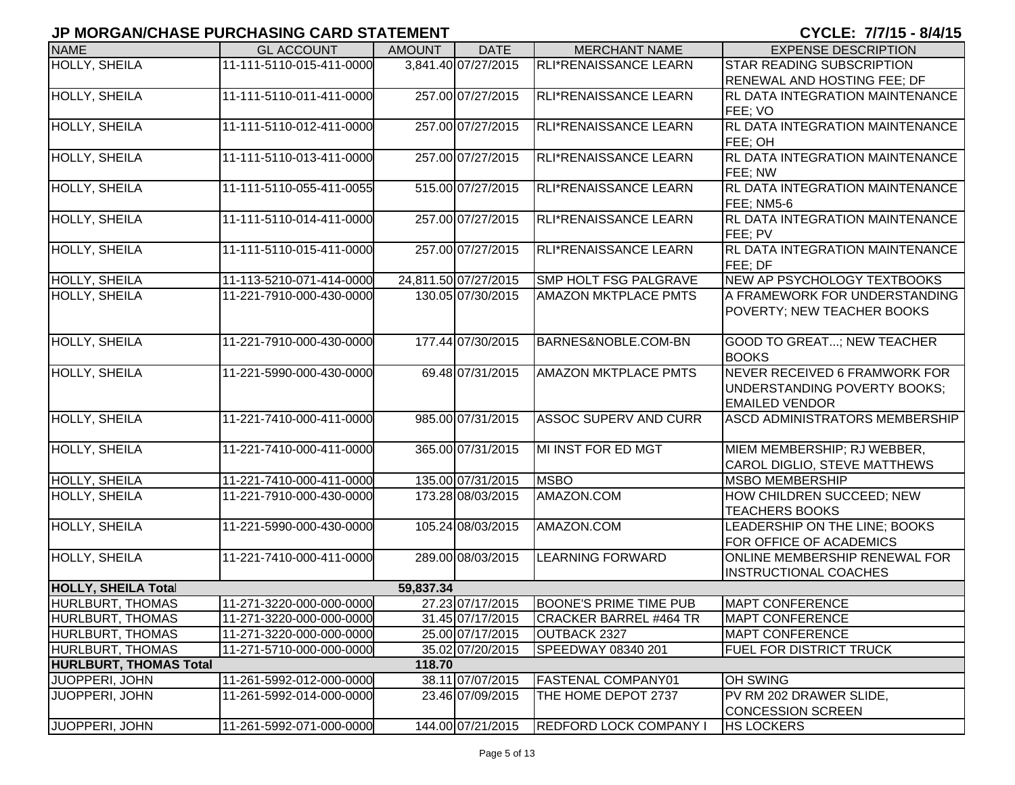| <b>NAME</b>                   | <b>GL ACCOUNT</b>                                    | <b>AMOUNT</b> | <b>DATE</b>                               | <b>MERCHANT NAME</b>                                 | <b>EXPENSE DESCRIPTION</b>                        |
|-------------------------------|------------------------------------------------------|---------------|-------------------------------------------|------------------------------------------------------|---------------------------------------------------|
| <b>HOLLY, SHEILA</b>          | 11-111-5110-015-411-0000                             |               | 3,841.40 07/27/2015                       | RLI*RENAISSANCE LEARN                                | <b>STAR READING SUBSCRIPTION</b>                  |
|                               |                                                      |               |                                           |                                                      | <b>RENEWAL AND HOSTING FEE; DF</b>                |
| HOLLY, SHEILA                 | 11-111-5110-011-411-0000                             |               | 257.00 07/27/2015                         | RLI*RENAISSANCE LEARN                                | <b>RL DATA INTEGRATION MAINTENANCE</b>            |
|                               |                                                      |               |                                           |                                                      | FEE; VO                                           |
| HOLLY, SHEILA                 | 11-111-5110-012-411-0000                             |               | 257.00 07/27/2015                         | RLI*RENAISSANCE LEARN                                | <b>RL DATA INTEGRATION MAINTENANCE</b>            |
|                               |                                                      |               |                                           |                                                      | FEE; OH                                           |
| HOLLY, SHEILA                 | 11-111-5110-013-411-0000                             |               | 257.00 07/27/2015                         | RLI*RENAISSANCE LEARN                                | <b>RL DATA INTEGRATION MAINTENANCE</b>            |
|                               | 11-111-5110-055-411-0055                             |               | 515.00 07/27/2015                         | RLI*RENAISSANCE LEARN                                | FEE; NW<br><b>RL DATA INTEGRATION MAINTENANCE</b> |
| HOLLY, SHEILA                 |                                                      |               |                                           |                                                      | FEE; NM5-6                                        |
| <b>HOLLY, SHEILA</b>          | 11-111-5110-014-411-0000                             |               | 257.00 07/27/2015                         | RLI*RENAISSANCE LEARN                                | <b>RL DATA INTEGRATION MAINTENANCE</b>            |
|                               |                                                      |               |                                           |                                                      | FEE: PV                                           |
| HOLLY, SHEILA                 | 11-111-5110-015-411-0000                             |               | 257.00 07/27/2015                         | RLI*RENAISSANCE LEARN                                | <b>RL DATA INTEGRATION MAINTENANCE</b>            |
|                               |                                                      |               |                                           |                                                      | FEE; DF                                           |
| HOLLY, SHEILA                 | 11-113-5210-071-414-0000<br>11-221-7910-000-430-0000 |               | 24,811.50 07/27/2015<br>130.05 07/30/2015 | SMP HOLT FSG PALGRAVE<br><b>AMAZON MKTPLACE PMTS</b> | NEW AP PSYCHOLOGY TEXTBOOKS                       |
| HOLLY, SHEILA                 |                                                      |               |                                           |                                                      | A FRAMEWORK FOR UNDERSTANDING                     |
|                               |                                                      |               |                                           |                                                      | POVERTY; NEW TEACHER BOOKS                        |
| <b>HOLLY, SHEILA</b>          | 11-221-7910-000-430-0000                             |               | 177.44 07/30/2015                         | BARNES&NOBLE.COM-BN                                  | <b>GOOD TO GREAT; NEW TEACHER</b>                 |
|                               |                                                      |               |                                           |                                                      | <b>BOOKS</b>                                      |
| <b>HOLLY, SHEILA</b>          | 11-221-5990-000-430-0000                             |               | 69.48 07/31/2015                          | <b>AMAZON MKTPLACE PMTS</b>                          | NEVER RECEIVED 6 FRAMWORK FOR                     |
|                               |                                                      |               |                                           |                                                      | UNDERSTANDING POVERTY BOOKS;                      |
|                               |                                                      |               |                                           |                                                      | <b>EMAILED VENDOR</b>                             |
| <b>HOLLY, SHEILA</b>          | 11-221-7410-000-411-0000                             |               | 985.00 07/31/2015                         | <b>ASSOC SUPERV AND CURR</b>                         | ASCD ADMINISTRATORS MEMBERSHIP                    |
|                               |                                                      |               |                                           |                                                      |                                                   |
| <b>HOLLY, SHEILA</b>          | 11-221-7410-000-411-0000                             |               | 365.00 07/31/2015                         | MI INST FOR ED MGT                                   | MIEM MEMBERSHIP; RJ WEBBER,                       |
|                               |                                                      |               |                                           |                                                      | <b>CAROL DIGLIO, STEVE MATTHEWS</b>               |
| HOLLY, SHEILA                 | 11-221-7410-000-411-0000                             |               | 135.00 07/31/2015                         | <b>MSBO</b>                                          | <b>MSBO MEMBERSHIP</b>                            |
| <b>HOLLY, SHEILA</b>          | 11-221-7910-000-430-0000                             |               | 173.28 08/03/2015                         | AMAZON.COM                                           | HOW CHILDREN SUCCEED; NEW                         |
|                               |                                                      |               |                                           |                                                      | <b>TEACHERS BOOKS</b>                             |
| <b>HOLLY, SHEILA</b>          | 11-221-5990-000-430-0000                             |               | 105.24 08/03/2015                         | AMAZON.COM                                           | LEADERSHIP ON THE LINE; BOOKS                     |
|                               |                                                      |               |                                           |                                                      | FOR OFFICE OF ACADEMICS                           |
| <b>HOLLY, SHEILA</b>          | 11-221-7410-000-411-0000                             |               | 289.00 08/03/2015                         | <b>LEARNING FORWARD</b>                              | <b>ONLINE MEMBERSHIP RENEWAL FOR</b>              |
| <b>HOLLY, SHEILA Total</b>    |                                                      | 59,837.34     |                                           |                                                      | <b>INSTRUCTIONAL COACHES</b>                      |
| HURLBURT, THOMAS              | 11-271-3220-000-000-0000                             |               | 27.23 07/17/2015                          | <b>BOONE'S PRIME TIME PUB</b>                        | <b>MAPT CONFERENCE</b>                            |
| <b>HURLBURT, THOMAS</b>       | 11-271-3220-000-000-0000                             |               | 31.45 07/17/2015                          | CRACKER BARREL #464 TR                               | <b>MAPT CONFERENCE</b>                            |
| <b>HURLBURT, THOMAS</b>       | 11-271-3220-000-000-0000                             |               | 25.00 07/17/2015                          | OUTBACK 2327                                         | <b>MAPT CONFERENCE</b>                            |
| <b>HURLBURT, THOMAS</b>       | 11-271-5710-000-000-0000                             |               | 35.02 07/20/2015                          | SPEEDWAY 08340 201                                   | <b>FUEL FOR DISTRICT TRUCK</b>                    |
| <b>HURLBURT, THOMAS Total</b> |                                                      | 118.70        |                                           |                                                      |                                                   |
| JUOPPERI, JOHN                | 11-261-5992-012-000-0000                             |               | 38.11 07/07/2015                          | <b>FASTENAL COMPANY01</b>                            | <b>OH SWING</b>                                   |
| JUOPPERI, JOHN                | 11-261-5992-014-000-0000                             |               | 23.46 07/09/2015                          | THE HOME DEPOT 2737                                  | PV RM 202 DRAWER SLIDE,                           |
|                               |                                                      |               |                                           |                                                      | <b>CONCESSION SCREEN</b>                          |
| JUOPPERI, JOHN                | 11-261-5992-071-000-0000                             |               | 144.00 07/21/2015                         | <b>REDFORD LOCK COMPANY I</b>                        | <b>HS LOCKERS</b>                                 |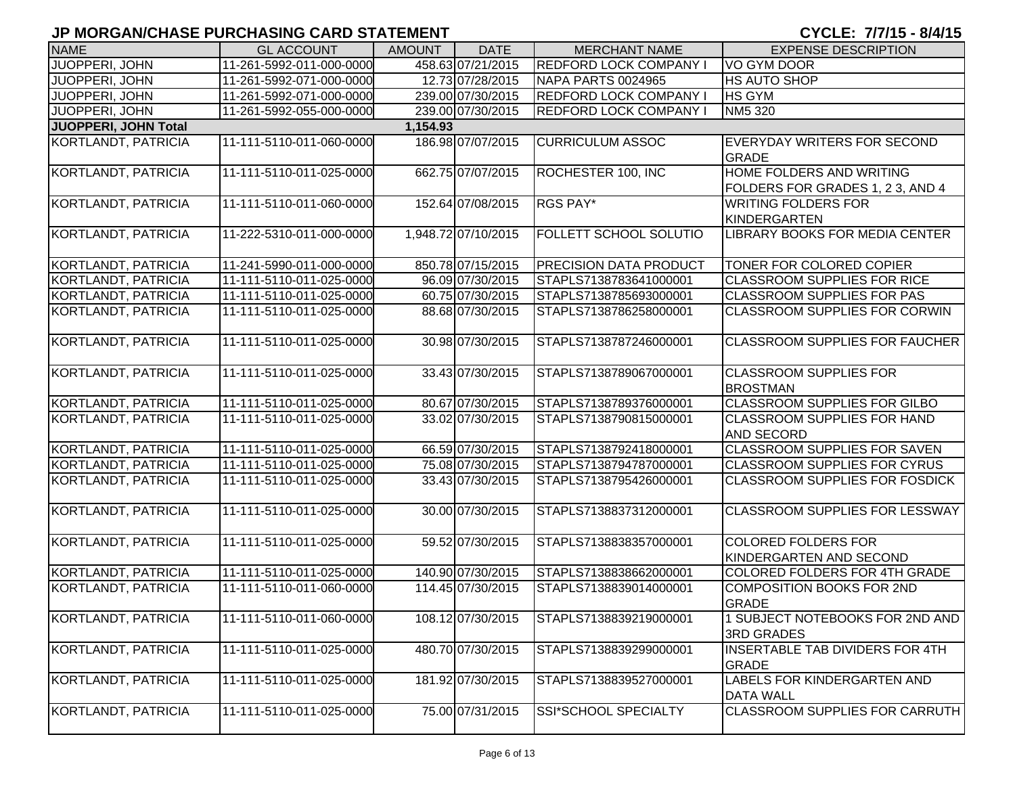| <b>NAME</b>                | <b>GL ACCOUNT</b>        | <b>AMOUNT</b> | <b>DATE</b>         | <b>MERCHANT NAME</b>          | <b>EXPENSE DESCRIPTION</b>                                   |
|----------------------------|--------------------------|---------------|---------------------|-------------------------------|--------------------------------------------------------------|
| JUOPPERI, JOHN             | 11-261-5992-011-000-0000 |               | 458.63 07/21/2015   | <b>REDFORD LOCK COMPANY I</b> | VO GYM DOOR                                                  |
| JUOPPERI, JOHN             | 11-261-5992-071-000-0000 |               | 12.73 07/28/2015    | NAPA PARTS 0024965            | <b>HS AUTO SHOP</b>                                          |
| JUOPPERI, JOHN             | 11-261-5992-071-000-0000 |               | 239.00 07/30/2015   | <b>REDFORD LOCK COMPANY I</b> | <b>HS GYM</b>                                                |
| JUOPPERI, JOHN             | 11-261-5992-055-000-0000 |               | 239.00 07/30/2015   | <b>REDFORD LOCK COMPANY I</b> | NM5 320                                                      |
| JUOPPERI, JOHN Total       |                          | 1,154.93      |                     |                               |                                                              |
| KORTLANDT, PATRICIA        | 11-111-5110-011-060-0000 |               | 186.98 07/07/2015   | <b>CURRICULUM ASSOC</b>       | EVERYDAY WRITERS FOR SECOND<br><b>GRADE</b>                  |
| <b>KORTLANDT, PATRICIA</b> | 11-111-5110-011-025-0000 |               | 662.75 07/07/2015   | ROCHESTER 100, INC            | HOME FOLDERS AND WRITING<br>FOLDERS FOR GRADES 1, 2 3, AND 4 |
| KORTLANDT, PATRICIA        | 11-111-5110-011-060-0000 |               | 152.64 07/08/2015   | RGS PAY*                      | <b>WRITING FOLDERS FOR</b><br><b>KINDERGARTEN</b>            |
| KORTLANDT, PATRICIA        | 11-222-5310-011-000-0000 |               | 1,948.72 07/10/2015 | FOLLETT SCHOOL SOLUTIO        | LIBRARY BOOKS FOR MEDIA CENTER                               |
| KORTLANDT, PATRICIA        | 11-241-5990-011-000-0000 |               | 850.78 07/15/2015   | <b>PRECISION DATA PRODUCT</b> | TONER FOR COLORED COPIER                                     |
| KORTLANDT, PATRICIA        | 11-111-5110-011-025-0000 |               | 96.09 07/30/2015    | STAPLS7138783641000001        | <b>CLASSROOM SUPPLIES FOR RICE</b>                           |
| KORTLANDT, PATRICIA        | 11-111-5110-011-025-0000 |               | 60.75 07/30/2015    | STAPLS7138785693000001        | <b>CLASSROOM SUPPLIES FOR PAS</b>                            |
| KORTLANDT, PATRICIA        | 11-111-5110-011-025-0000 |               | 88.68 07/30/2015    | STAPLS7138786258000001        | <b>CLASSROOM SUPPLIES FOR CORWIN</b>                         |
| <b>KORTLANDT, PATRICIA</b> | 11-111-5110-011-025-0000 |               | 30.98 07/30/2015    | STAPLS7138787246000001        | <b>CLASSROOM SUPPLIES FOR FAUCHER</b>                        |
| KORTLANDT, PATRICIA        | 11-111-5110-011-025-0000 |               | 33.43 07/30/2015    | STAPLS7138789067000001        | <b>CLASSROOM SUPPLIES FOR</b><br><b>BROSTMAN</b>             |
| KORTLANDT, PATRICIA        | 11-111-5110-011-025-0000 |               | 80.67 07/30/2015    | STAPLS7138789376000001        | <b>CLASSROOM SUPPLIES FOR GILBO</b>                          |
| KORTLANDT, PATRICIA        | 11-111-5110-011-025-0000 |               | 33.02 07/30/2015    | STAPLS7138790815000001        | <b>CLASSROOM SUPPLIES FOR HAND</b><br><b>AND SECORD</b>      |
| KORTLANDT, PATRICIA        | 11-111-5110-011-025-0000 |               | 66.59 07/30/2015    | STAPLS7138792418000001        | CLASSROOM SUPPLIES FOR SAVEN                                 |
| KORTLANDT, PATRICIA        | 11-111-5110-011-025-0000 |               | 75.08 07/30/2015    | STAPLS7138794787000001        | <b>CLASSROOM SUPPLIES FOR CYRUS</b>                          |
| KORTLANDT, PATRICIA        | 11-111-5110-011-025-0000 |               | 33.43 07/30/2015    | STAPLS7138795426000001        | <b>CLASSROOM SUPPLIES FOR FOSDICK</b>                        |
| KORTLANDT, PATRICIA        | 11-111-5110-011-025-0000 |               | 30.00 07/30/2015    | STAPLS7138837312000001        | <b>CLASSROOM SUPPLIES FOR LESSWAY</b>                        |
| KORTLANDT, PATRICIA        | 11-111-5110-011-025-0000 |               | 59.52 07/30/2015    | STAPLS7138838357000001        | <b>COLORED FOLDERS FOR</b><br>KINDERGARTEN AND SECOND        |
| KORTLANDT, PATRICIA        | 11-111-5110-011-025-0000 |               | 140.90 07/30/2015   | STAPLS7138838662000001        | COLORED FOLDERS FOR 4TH GRADE                                |
| KORTLANDT, PATRICIA        | 11-111-5110-011-060-0000 |               | 114.45 07/30/2015   | STAPLS7138839014000001        | <b>COMPOSITION BOOKS FOR 2ND</b><br><b>GRADE</b>             |
| KORTLANDT, PATRICIA        | 11-111-5110-011-060-0000 |               | 108.12 07/30/2015   | STAPLS7138839219000001        | 1 SUBJECT NOTEBOOKS FOR 2ND AND<br><b>3RD GRADES</b>         |
| KORTLANDT, PATRICIA        | 11-111-5110-011-025-0000 |               | 480.70 07/30/2015   | STAPLS7138839299000001        | INSERTABLE TAB DIVIDERS FOR 4TH<br><b>GRADE</b>              |
| KORTLANDT, PATRICIA        | 11-111-5110-011-025-0000 |               | 181.92 07/30/2015   | STAPLS7138839527000001        | LABELS FOR KINDERGARTEN AND<br><b>DATA WALL</b>              |
| KORTLANDT, PATRICIA        | 11-111-5110-011-025-0000 |               | 75.00 07/31/2015    | SSI*SCHOOL SPECIALTY          | CLASSROOM SUPPLIES FOR CARRUTH                               |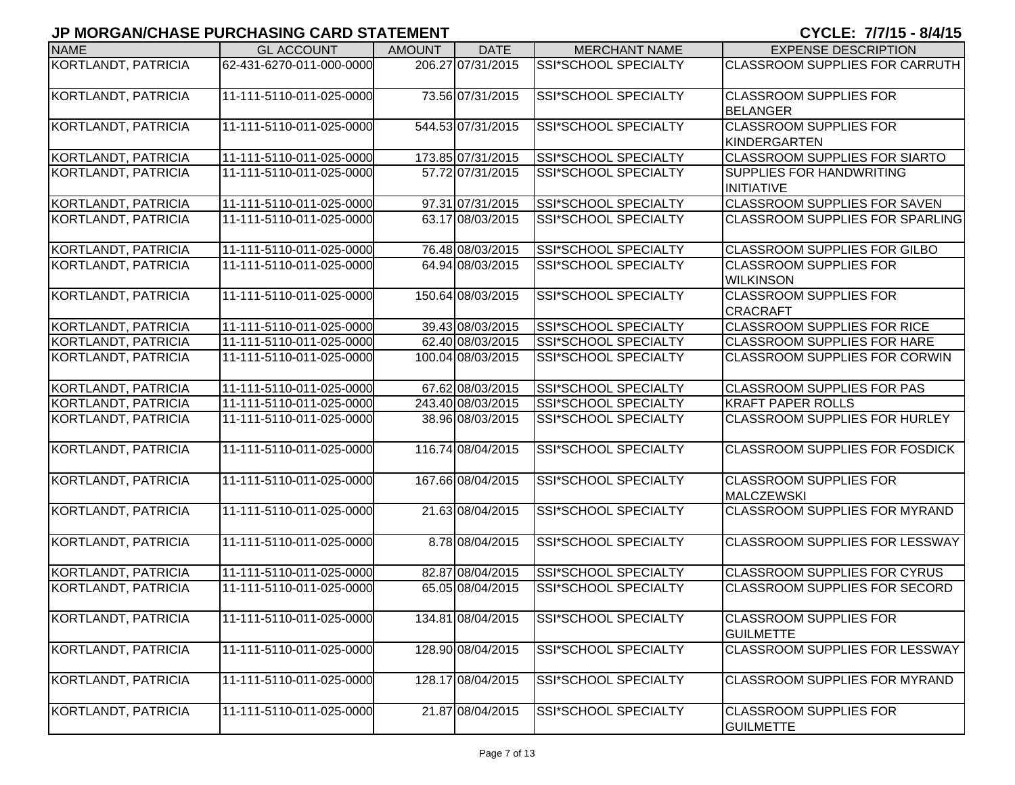| <b>NAME</b>                | <b>GL ACCOUNT</b>        | <b>AMOUNT</b> | <b>DATE</b>       | <b>MERCHANT NAME</b>        | <b>EXPENSE DESCRIPTION</b>                           |
|----------------------------|--------------------------|---------------|-------------------|-----------------------------|------------------------------------------------------|
| KORTLANDT, PATRICIA        | 62-431-6270-011-000-0000 |               | 206.27 07/31/2015 | SSI*SCHOOL SPECIALTY        | CLASSROOM SUPPLIES FOR CARRUTH                       |
| KORTLANDT, PATRICIA        | 11-111-5110-011-025-0000 |               | 73.56 07/31/2015  | SSI*SCHOOL SPECIALTY        | <b>CLASSROOM SUPPLIES FOR</b><br><b>BELANGER</b>     |
| KORTLANDT, PATRICIA        | 11-111-5110-011-025-0000 |               | 544.53 07/31/2015 | SSI*SCHOOL SPECIALTY        | <b>CLASSROOM SUPPLIES FOR</b><br><b>KINDERGARTEN</b> |
| KORTLANDT, PATRICIA        | 11-111-5110-011-025-0000 |               | 173.85 07/31/2015 | <b>SSI*SCHOOL SPECIALTY</b> | <b>CLASSROOM SUPPLIES FOR SIARTO</b>                 |
| KORTLANDT, PATRICIA        | 11-111-5110-011-025-0000 |               | 57.72 07/31/2015  | SSI*SCHOOL SPECIALTY        | <b>SUPPLIES FOR HANDWRITING</b><br><b>INITIATIVE</b> |
| KORTLANDT, PATRICIA        | 11-111-5110-011-025-0000 |               | 97.31 07/31/2015  | <b>SSI*SCHOOL SPECIALTY</b> | CLASSROOM SUPPLIES FOR SAVEN                         |
| KORTLANDT, PATRICIA        | 11-111-5110-011-025-0000 |               | 63.17 08/03/2015  | <b>SSI*SCHOOL SPECIALTY</b> | <b>CLASSROOM SUPPLIES FOR SPARLING</b>               |
| KORTLANDT, PATRICIA        | 11-111-5110-011-025-0000 |               | 76.48 08/03/2015  | SSI*SCHOOL SPECIALTY        | <b>CLASSROOM SUPPLIES FOR GILBO</b>                  |
| KORTLANDT, PATRICIA        | 11-111-5110-011-025-0000 |               | 64.94 08/03/2015  | SSI*SCHOOL SPECIALTY        | <b>CLASSROOM SUPPLIES FOR</b><br><b>WILKINSON</b>    |
| KORTLANDT, PATRICIA        | 11-111-5110-011-025-0000 |               | 150.64 08/03/2015 | SSI*SCHOOL SPECIALTY        | <b>CLASSROOM SUPPLIES FOR</b><br><b>CRACRAFT</b>     |
| KORTLANDT, PATRICIA        | 11-111-5110-011-025-0000 |               | 39.43 08/03/2015  | SSI*SCHOOL SPECIALTY        | <b>CLASSROOM SUPPLIES FOR RICE</b>                   |
| KORTLANDT, PATRICIA        | 11-111-5110-011-025-0000 |               | 62.40 08/03/2015  | SSI*SCHOOL SPECIALTY        | <b>CLASSROOM SUPPLIES FOR HARE</b>                   |
| KORTLANDT, PATRICIA        | 11-111-5110-011-025-0000 |               | 100.04 08/03/2015 | SSI*SCHOOL SPECIALTY        | <b>CLASSROOM SUPPLIES FOR CORWIN</b>                 |
| <b>KORTLANDT, PATRICIA</b> | 11-111-5110-011-025-0000 |               | 67.62 08/03/2015  | <b>SSI*SCHOOL SPECIALTY</b> | <b>CLASSROOM SUPPLIES FOR PAS</b>                    |
| KORTLANDT, PATRICIA        | 11-111-5110-011-025-0000 |               | 243.40 08/03/2015 | SSI*SCHOOL SPECIALTY        | <b>KRAFT PAPER ROLLS</b>                             |
| KORTLANDT, PATRICIA        | 11-111-5110-011-025-0000 |               | 38.96 08/03/2015  | SSI*SCHOOL SPECIALTY        | <b>CLASSROOM SUPPLIES FOR HURLEY</b>                 |
| KORTLANDT, PATRICIA        | 11-111-5110-011-025-0000 |               | 116.74 08/04/2015 | SSI*SCHOOL SPECIALTY        | <b>CLASSROOM SUPPLIES FOR FOSDICK</b>                |
| KORTLANDT, PATRICIA        | 11-111-5110-011-025-0000 |               | 167.66 08/04/2015 | SSI*SCHOOL SPECIALTY        | <b>CLASSROOM SUPPLIES FOR</b><br><b>MALCZEWSKI</b>   |
| KORTLANDT, PATRICIA        | 11-111-5110-011-025-0000 |               | 21.63 08/04/2015  | SSI*SCHOOL SPECIALTY        | <b>CLASSROOM SUPPLIES FOR MYRAND</b>                 |
| KORTLANDT, PATRICIA        | 11-111-5110-011-025-0000 |               | 8.78 08/04/2015   | SSI*SCHOOL SPECIALTY        | <b>CLASSROOM SUPPLIES FOR LESSWAY</b>                |
| KORTLANDT, PATRICIA        | 11-111-5110-011-025-0000 |               | 82.87 08/04/2015  | SSI*SCHOOL SPECIALTY        | <b>CLASSROOM SUPPLIES FOR CYRUS</b>                  |
| KORTLANDT, PATRICIA        | 11-111-5110-011-025-0000 |               | 65.05 08/04/2015  | SSI*SCHOOL SPECIALTY        | <b>CLASSROOM SUPPLIES FOR SECORD</b>                 |
| <b>KORTLANDT, PATRICIA</b> | 11-111-5110-011-025-0000 |               | 134.81 08/04/2015 | SSI*SCHOOL SPECIALTY        | <b>CLASSROOM SUPPLIES FOR</b><br><b>GUILMETTE</b>    |
| KORTLANDT, PATRICIA        | 11-111-5110-011-025-0000 |               | 128.90 08/04/2015 | SSI*SCHOOL SPECIALTY        | <b>CLASSROOM SUPPLIES FOR LESSWAY</b>                |
| KORTLANDT, PATRICIA        | 11-111-5110-011-025-0000 |               | 128.17 08/04/2015 | SSI*SCHOOL SPECIALTY        | CLASSROOM SUPPLIES FOR MYRAND                        |
| KORTLANDT, PATRICIA        | 11-111-5110-011-025-0000 |               | 21.87 08/04/2015  | SSI*SCHOOL SPECIALTY        | <b>CLASSROOM SUPPLIES FOR</b><br><b>GUILMETTE</b>    |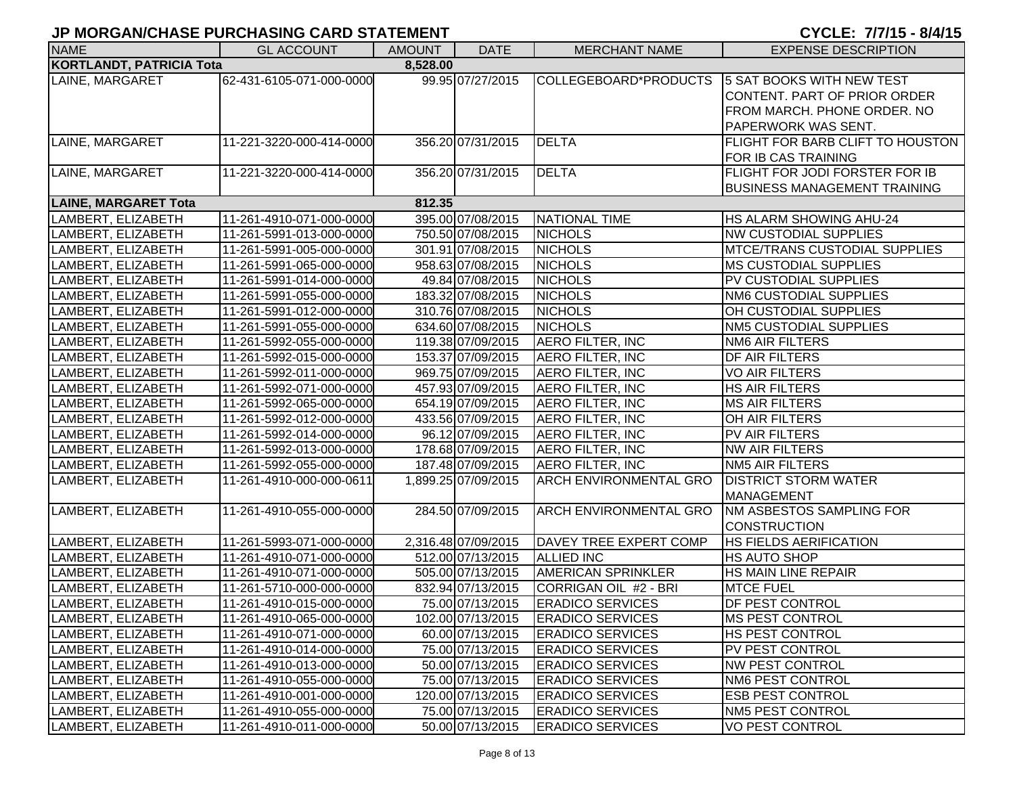| <b>NAME</b>                     |                          |          |                     |                               |                                      |
|---------------------------------|--------------------------|----------|---------------------|-------------------------------|--------------------------------------|
|                                 | <b>GL ACCOUNT</b>        | AMOUNT   | <b>DATE</b>         | <b>MERCHANT NAME</b>          | <b>EXPENSE DESCRIPTION</b>           |
| <b>KORTLANDT, PATRICIA Tota</b> |                          | 8,528.00 |                     |                               |                                      |
| LAINE, MARGARET                 | 62-431-6105-071-000-0000 |          | 99.95 07/27/2015    | COLLEGEBOARD*PRODUCTS         | 5 SAT BOOKS WITH NEW TEST            |
|                                 |                          |          |                     |                               | CONTENT. PART OF PRIOR ORDER         |
|                                 |                          |          |                     |                               | FROM MARCH. PHONE ORDER. NO          |
|                                 |                          |          |                     |                               | PAPERWORK WAS SENT.                  |
| LAINE, MARGARET                 | 11-221-3220-000-414-0000 |          | 356.20 07/31/2015   | <b>DELTA</b>                  | FLIGHT FOR BARB CLIFT TO HOUSTON     |
|                                 |                          |          |                     |                               | FOR IB CAS TRAINING                  |
| LAINE, MARGARET                 | 11-221-3220-000-414-0000 |          | 356.20 07/31/2015   | <b>DELTA</b>                  | FLIGHT FOR JODI FORSTER FOR IB       |
|                                 |                          |          |                     |                               | <b>BUSINESS MANAGEMENT TRAINING</b>  |
| <b>LAINE, MARGARET Tota</b>     |                          | 812.35   |                     |                               |                                      |
| LAMBERT, ELIZABETH              | 11-261-4910-071-000-0000 |          | 395.00 07/08/2015   | <b>NATIONAL TIME</b>          | <b>HS ALARM SHOWING AHU-24</b>       |
| LAMBERT, ELIZABETH              | 11-261-5991-013-000-0000 |          | 750.50 07/08/2015   | <b>NICHOLS</b>                | <b>NW CUSTODIAL SUPPLIES</b>         |
| LAMBERT, ELIZABETH              | 11-261-5991-005-000-0000 |          | 301.91 07/08/2015   | <b>NICHOLS</b>                | <b>MTCE/TRANS CUSTODIAL SUPPLIES</b> |
| LAMBERT, ELIZABETH              | 11-261-5991-065-000-0000 |          | 958.63 07/08/2015   | <b>NICHOLS</b>                | <b>MS CUSTODIAL SUPPLIES</b>         |
| LAMBERT, ELIZABETH              | 11-261-5991-014-000-0000 |          | 49.84 07/08/2015    | <b>NICHOLS</b>                | PV CUSTODIAL SUPPLIES                |
| LAMBERT, ELIZABETH              | 11-261-5991-055-000-0000 |          | 183.32 07/08/2015   | <b>NICHOLS</b>                | NM6 CUSTODIAL SUPPLIES               |
| LAMBERT, ELIZABETH              | 11-261-5991-012-000-0000 |          | 310.76 07/08/2015   | <b>NICHOLS</b>                | OH CUSTODIAL SUPPLIES                |
| LAMBERT, ELIZABETH              | 11-261-5991-055-000-0000 |          | 634.60 07/08/2015   | <b>NICHOLS</b>                | <b>NM5 CUSTODIAL SUPPLIES</b>        |
| LAMBERT, ELIZABETH              | 11-261-5992-055-000-0000 |          | 119.38 07/09/2015   | <b>AERO FILTER, INC</b>       | <b>NM6 AIR FILTERS</b>               |
| LAMBERT, ELIZABETH              | 11-261-5992-015-000-0000 |          | 153.37 07/09/2015   | <b>AERO FILTER, INC</b>       | <b>DF AIR FILTERS</b>                |
| LAMBERT, ELIZABETH              | 11-261-5992-011-000-0000 |          | 969.75 07/09/2015   | <b>AERO FILTER, INC</b>       | <b>VO AIR FILTERS</b>                |
| LAMBERT, ELIZABETH              | 11-261-5992-071-000-0000 |          | 457.93 07/09/2015   | <b>AERO FILTER, INC</b>       | <b>HS AIR FILTERS</b>                |
| LAMBERT, ELIZABETH              | 11-261-5992-065-000-0000 |          | 654.19 07/09/2015   | <b>AERO FILTER, INC</b>       | <b>MS AIR FILTERS</b>                |
| LAMBERT, ELIZABETH              | 11-261-5992-012-000-0000 |          | 433.56 07/09/2015   | <b>AERO FILTER, INC</b>       | OH AIR FILTERS                       |
| LAMBERT, ELIZABETH              | 11-261-5992-014-000-0000 |          | 96.12 07/09/2015    | <b>AERO FILTER, INC</b>       | PV AIR FILTERS                       |
| LAMBERT, ELIZABETH              | 11-261-5992-013-000-0000 |          | 178.68 07/09/2015   | <b>AERO FILTER, INC</b>       | <b>NW AIR FILTERS</b>                |
| LAMBERT, ELIZABETH              | 11-261-5992-055-000-0000 |          | 187.48 07/09/2015   | <b>AERO FILTER, INC</b>       | <b>NM5 AIR FILTERS</b>               |
| LAMBERT, ELIZABETH              | 11-261-4910-000-000-0611 |          | 1,899.25 07/09/2015 | <b>ARCH ENVIRONMENTAL GRO</b> | <b>DISTRICT STORM WATER</b>          |
|                                 |                          |          |                     |                               | <b>MANAGEMENT</b>                    |
| LAMBERT, ELIZABETH              | 11-261-4910-055-000-0000 |          | 284.50 07/09/2015   | <b>ARCH ENVIRONMENTAL GRO</b> | <b>NM ASBESTOS SAMPLING FOR</b>      |
|                                 |                          |          |                     |                               | <b>CONSTRUCTION</b>                  |
| LAMBERT, ELIZABETH              | 11-261-5993-071-000-0000 |          | 2,316.48 07/09/2015 | DAVEY TREE EXPERT COMP        | <b>HS FIELDS AERIFICATION</b>        |
| LAMBERT, ELIZABETH              | 11-261-4910-071-000-0000 |          | 512.00 07/13/2015   | <b>ALLIED INC</b>             | <b>HS AUTO SHOP</b>                  |
| LAMBERT, ELIZABETH              | 11-261-4910-071-000-0000 |          | 505.00 07/13/2015   | <b>AMERICAN SPRINKLER</b>     | HS MAIN LINE REPAIR                  |
| LAMBERT, ELIZABETH              | 11-261-5710-000-000-0000 |          | 832.94 07/13/2015   | CORRIGAN OIL #2 - BRI         | <b>MTCE FUEL</b>                     |
| LAMBERT, ELIZABETH              | 11-261-4910-015-000-0000 |          | 75.00 07/13/2015    | <b>ERADICO SERVICES</b>       | <b>DF PEST CONTROL</b>               |
| LAMBERT, ELIZABETH              | 11-261-4910-065-000-0000 |          | 102.00 07/13/2015   | <b>ERADICO SERVICES</b>       | <b>MS PEST CONTROL</b>               |
| LAMBERT, ELIZABETH              | 11-261-4910-071-000-0000 |          | 60.00 07/13/2015    | <b>ERADICO SERVICES</b>       | <b>HS PEST CONTROL</b>               |
| LAMBERT, ELIZABETH              | 11-261-4910-014-000-0000 |          | 75.00 07/13/2015    | <b>ERADICO SERVICES</b>       | PV PEST CONTROL                      |
| LAMBERT, ELIZABETH              | 11-261-4910-013-000-0000 |          | 50.00 07/13/2015    | <b>ERADICO SERVICES</b>       | <b>NW PEST CONTROL</b>               |
| LAMBERT, ELIZABETH              | 11-261-4910-055-000-0000 |          | 75.00 07/13/2015    | <b>ERADICO SERVICES</b>       | <b>NM6 PEST CONTROL</b>              |
| LAMBERT, ELIZABETH              | 11-261-4910-001-000-0000 |          | 120.00 07/13/2015   | <b>ERADICO SERVICES</b>       | <b>ESB PEST CONTROL</b>              |
| LAMBERT, ELIZABETH              | 11-261-4910-055-000-0000 |          | 75.00 07/13/2015    | <b>ERADICO SERVICES</b>       | NM5 PEST CONTROL                     |
| LAMBERT, ELIZABETH              | 11-261-4910-011-000-0000 |          | 50.00 07/13/2015    | <b>ERADICO SERVICES</b>       | VO PEST CONTROL                      |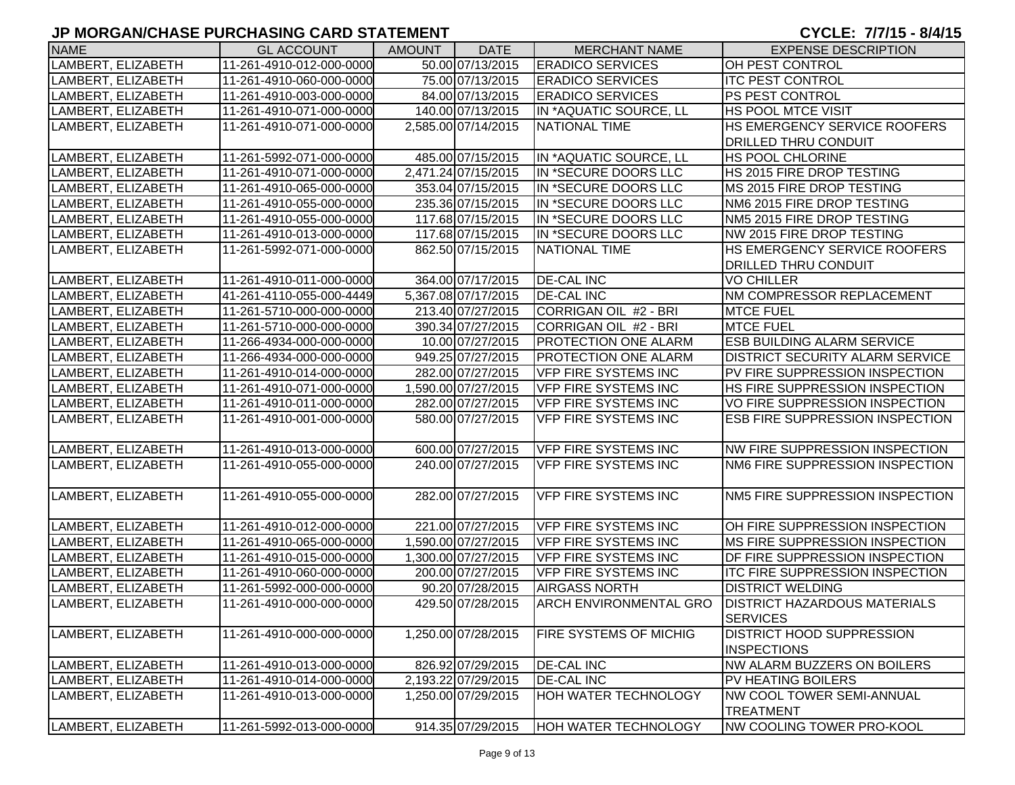| <b>NAME</b>        | <b>GL ACCOUNT</b>        | <b>AMOUNT</b> | <b>DATE</b>         | <b>MERCHANT NAME</b>          | <b>EXPENSE DESCRIPTION</b>             |
|--------------------|--------------------------|---------------|---------------------|-------------------------------|----------------------------------------|
| LAMBERT, ELIZABETH | 11-261-4910-012-000-0000 |               | 50.00 07/13/2015    | <b>ERADICO SERVICES</b>       | OH PEST CONTROL                        |
| LAMBERT, ELIZABETH | 11-261-4910-060-000-0000 |               | 75.00 07/13/2015    | <b>ERADICO SERVICES</b>       | <b>ITC PEST CONTROL</b>                |
| LAMBERT, ELIZABETH | 11-261-4910-003-000-0000 |               | 84.00 07/13/2015    | <b>ERADICO SERVICES</b>       | IPS PEST CONTROL                       |
| LAMBERT, ELIZABETH | 11-261-4910-071-000-0000 |               | 140.00 07/13/2015   | IN *AQUATIC SOURCE, LL        | IHS POOL MTCE VISIT                    |
| LAMBERT, ELIZABETH | 11-261-4910-071-000-0000 |               | 2,585.00 07/14/2015 | <b>NATIONAL TIME</b>          | <b>HS EMERGENCY SERVICE ROOFERS</b>    |
|                    |                          |               |                     |                               | <b>IDRILLED THRU CONDUIT</b>           |
| LAMBERT, ELIZABETH | 11-261-5992-071-000-0000 |               | 485.00 07/15/2015   | IN *AQUATIC SOURCE, LL        | HS POOL CHLORINE                       |
| LAMBERT, ELIZABETH | 11-261-4910-071-000-0000 |               | 2,471.24 07/15/2015 | IN *SECURE DOORS LLC          | HS 2015 FIRE DROP TESTING              |
| LAMBERT, ELIZABETH | 11-261-4910-065-000-0000 |               | 353.04 07/15/2015   | IN *SECURE DOORS LLC          | <b>IMS 2015 FIRE DROP TESTING</b>      |
| LAMBERT, ELIZABETH | 11-261-4910-055-000-0000 |               | 235.36 07/15/2015   | IN *SECURE DOORS LLC          | NM6 2015 FIRE DROP TESTING             |
| LAMBERT, ELIZABETH | 11-261-4910-055-000-0000 |               | 117.68 07/15/2015   | IN *SECURE DOORS LLC          | NM5 2015 FIRE DROP TESTING             |
| LAMBERT, ELIZABETH | 11-261-4910-013-000-0000 |               | 117.68 07/15/2015   | IN *SECURE DOORS LLC          | NW 2015 FIRE DROP TESTING              |
| LAMBERT, ELIZABETH | 11-261-5992-071-000-0000 |               | 862.50 07/15/2015   | <b>NATIONAL TIME</b>          | <b>HS EMERGENCY SERVICE ROOFERS</b>    |
|                    |                          |               |                     |                               | <b>DRILLED THRU CONDUIT</b>            |
| LAMBERT, ELIZABETH | 11-261-4910-011-000-0000 |               | 364.00 07/17/2015   | <b>DE-CAL INC</b>             | VO CHILLER                             |
| LAMBERT, ELIZABETH | 41-261-4110-055-000-4449 |               | 5,367.08 07/17/2015 | <b>DE-CAL INC</b>             | NM COMPRESSOR REPLACEMENT              |
| LAMBERT, ELIZABETH | 11-261-5710-000-000-0000 |               | 213.40 07/27/2015   | CORRIGAN OIL #2 - BRI         | <b>MTCE FUEL</b>                       |
| LAMBERT, ELIZABETH | 11-261-5710-000-000-0000 |               | 390.34 07/27/2015   | CORRIGAN OIL #2 - BRI         | <b>MTCE FUEL</b>                       |
| LAMBERT, ELIZABETH | 11-266-4934-000-000-0000 |               | 10.00 07/27/2015    | <b>PROTECTION ONE ALARM</b>   | <b>ESB BUILDING ALARM SERVICE</b>      |
| LAMBERT, ELIZABETH | 11-266-4934-000-000-0000 |               | 949.25 07/27/2015   | <b>PROTECTION ONE ALARM</b>   | <b>DISTRICT SECURITY ALARM SERVICE</b> |
| LAMBERT, ELIZABETH | 11-261-4910-014-000-0000 |               | 282.00 07/27/2015   | <b>VFP FIRE SYSTEMS INC</b>   | PV FIRE SUPPRESSION INSPECTION         |
| LAMBERT, ELIZABETH | 11-261-4910-071-000-0000 |               | 1,590.00 07/27/2015 | <b>VFP FIRE SYSTEMS INC</b>   | HS FIRE SUPPRESSION INSPECTION         |
| LAMBERT, ELIZABETH | 11-261-4910-011-000-0000 |               | 282.00 07/27/2015   | <b>VFP FIRE SYSTEMS INC</b>   | VO FIRE SUPPRESSION INSPECTION         |
| LAMBERT, ELIZABETH | 11-261-4910-001-000-0000 |               | 580.00 07/27/2015   | <b>VFP FIRE SYSTEMS INC</b>   | ESB FIRE SUPPRESSION INSPECTION        |
|                    |                          |               |                     |                               |                                        |
| LAMBERT, ELIZABETH | 11-261-4910-013-000-0000 |               | 600.00 07/27/2015   | <b>VFP FIRE SYSTEMS INC</b>   | INW FIRE SUPPRESSION INSPECTION        |
| LAMBERT, ELIZABETH | 11-261-4910-055-000-0000 |               | 240.00 07/27/2015   | <b>VFP FIRE SYSTEMS INC</b>   | NM6 FIRE SUPPRESSION INSPECTION        |
|                    |                          |               |                     |                               |                                        |
| LAMBERT, ELIZABETH | 11-261-4910-055-000-0000 |               | 282.00 07/27/2015   | <b>VFP FIRE SYSTEMS INC</b>   | NM5 FIRE SUPPRESSION INSPECTION        |
|                    |                          |               |                     |                               |                                        |
| LAMBERT, ELIZABETH | 11-261-4910-012-000-0000 |               | 221.00 07/27/2015   | <b>VFP FIRE SYSTEMS INC</b>   | OH FIRE SUPPRESSION INSPECTION         |
| LAMBERT, ELIZABETH | 11-261-4910-065-000-0000 |               | 1,590.00 07/27/2015 | <b>VFP FIRE SYSTEMS INC</b>   | IMS FIRE SUPPRESSION INSPECTION        |
| LAMBERT, ELIZABETH | 11-261-4910-015-000-0000 |               | 1,300.00 07/27/2015 | VFP FIRE SYSTEMS INC          | DF FIRE SUPPRESSION INSPECTION         |
| LAMBERT, ELIZABETH | 11-261-4910-060-000-0000 |               | 200.00 07/27/2015   | <b>VFP FIRE SYSTEMS INC</b>   | <b>ITC FIRE SUPPRESSION INSPECTION</b> |
| LAMBERT, ELIZABETH | 11-261-5992-000-000-0000 |               | 90.20 07/28/2015    | <b>AIRGASS NORTH</b>          | <b>DISTRICT WELDING</b>                |
| LAMBERT, ELIZABETH | 11-261-4910-000-000-0000 |               | 429.50 07/28/2015   | <b>ARCH ENVIRONMENTAL GRO</b> | <b>DISTRICT HAZARDOUS MATERIALS</b>    |
|                    |                          |               |                     |                               | <b>SERVICES</b>                        |
| LAMBERT, ELIZABETH | 11-261-4910-000-000-0000 |               | 1,250.00 07/28/2015 | <b>FIRE SYSTEMS OF MICHIG</b> | <b>IDISTRICT HOOD SUPPRESSION</b>      |
|                    |                          |               |                     |                               | <b>INSPECTIONS</b>                     |
| LAMBERT, ELIZABETH | 11-261-4910-013-000-0000 |               | 826.92 07/29/2015   | <b>DE-CAL INC</b>             | <b>NW ALARM BUZZERS ON BOILERS</b>     |
| LAMBERT, ELIZABETH | 11-261-4910-014-000-0000 |               | 2,193.22 07/29/2015 | <b>DE-CAL INC</b>             | PV HEATING BOILERS                     |
| LAMBERT, ELIZABETH | 11-261-4910-013-000-0000 |               | 1,250.00 07/29/2015 | HOH WATER TECHNOLOGY          | INW COOL TOWER SEMI-ANNUAL             |
|                    |                          |               |                     |                               | <b>TREATMENT</b>                       |
| LAMBERT, ELIZABETH | 11-261-5992-013-000-0000 |               | 914.35 07/29/2015   | <b>HOH WATER TECHNOLOGY</b>   | <b>NW COOLING TOWER PRO-KOOL</b>       |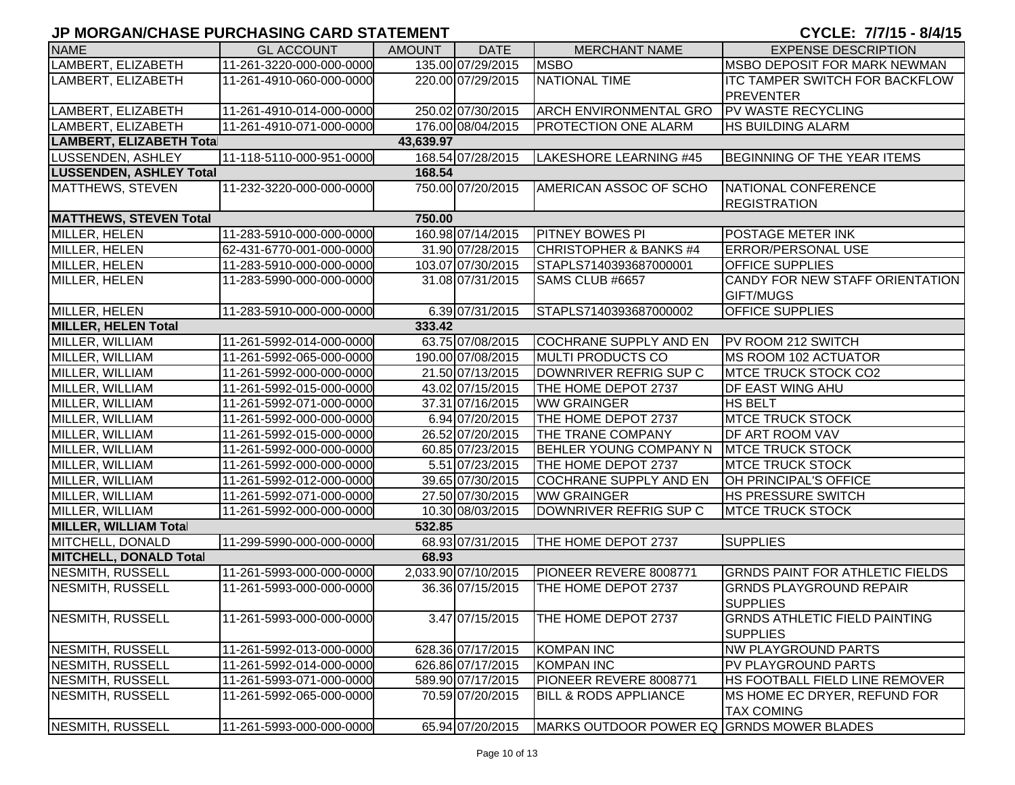## **JP MORGAN/CHASE PURCHASING CARD STATEMENT**

## CYCLE: 7/7/15 - 8/4/15

| <b>NAME</b>                     | <b>GL ACCOUNT</b>        | AMOUNT    | <b>DATE</b>         | <b>MERCHANT NAME</b>                      | <b>EXPENSE DESCRIPTION</b>                                |
|---------------------------------|--------------------------|-----------|---------------------|-------------------------------------------|-----------------------------------------------------------|
| LAMBERT, ELIZABETH              | 11-261-3220-000-000-0000 |           | 135.00 07/29/2015   | <b>MSBO</b>                               | <b>MSBO DEPOSIT FOR MARK NEWMAN</b>                       |
| LAMBERT, ELIZABETH              | 11-261-4910-060-000-0000 |           | 220.00 07/29/2015   | NATIONAL TIME                             | <b>ITC TAMPER SWITCH FOR BACKFLOW</b><br><b>PREVENTER</b> |
| LAMBERT, ELIZABETH              | 11-261-4910-014-000-0000 |           | 250.02 07/30/2015   | ARCH ENVIRONMENTAL GRO PV WASTE RECYCLING |                                                           |
| LAMBERT, ELIZABETH              | 11-261-4910-071-000-0000 |           | 176.00 08/04/2015   | <b>PROTECTION ONE ALARM</b>               | <b>HS BUILDING ALARM</b>                                  |
| <b>LAMBERT, ELIZABETH Total</b> |                          | 43,639.97 |                     |                                           |                                                           |
| LUSSENDEN, ASHLEY               | 11-118-5110-000-951-0000 |           | 168.54 07/28/2015   | LAKESHORE LEARNING #45                    | BEGINNING OF THE YEAR ITEMS                               |
| <b>LUSSENDEN, ASHLEY Total</b>  |                          | 168.54    |                     |                                           |                                                           |
| MATTHEWS, STEVEN                | 11-232-3220-000-000-0000 |           | 750.00 07/20/2015   | AMERICAN ASSOC OF SCHO                    | NATIONAL CONFERENCE<br><b>REGISTRATION</b>                |
| <b>MATTHEWS, STEVEN Total</b>   |                          | 750.00    |                     |                                           |                                                           |
| MILLER, HELEN                   | 11-283-5910-000-000-0000 |           | 160.98 07/14/2015   | <b>PITNEY BOWES PI</b>                    | <b>POSTAGE METER INK</b>                                  |
| MILLER, HELEN                   | 62-431-6770-001-000-0000 |           | 31.90 07/28/2015    | CHRISTOPHER & BANKS #4                    | <b>ERROR/PERSONAL USE</b>                                 |
| MILLER, HELEN                   | 11-283-5910-000-000-0000 |           | 103.07 07/30/2015   | STAPLS7140393687000001                    | <b>OFFICE SUPPLIES</b>                                    |
| MILLER, HELEN                   | 11-283-5990-000-000-0000 |           | 31.08 07/31/2015    | SAMS CLUB #6657                           | CANDY FOR NEW STAFF ORIENTATION<br>GIFT/MUGS              |
| MILLER, HELEN                   | 11-283-5910-000-000-0000 |           | 6.39 07/31/2015     | STAPLS7140393687000002                    | <b>OFFICE SUPPLIES</b>                                    |
| <b>MILLER, HELEN Total</b>      |                          | 333.42    |                     |                                           |                                                           |
| MILLER, WILLIAM                 | 11-261-5992-014-000-0000 |           | 63.75 07/08/2015    | COCHRANE SUPPLY AND EN                    | <b>PV ROOM 212 SWITCH</b>                                 |
| MILLER, WILLIAM                 | 11-261-5992-065-000-0000 |           | 190.00 07/08/2015   | <b>MULTI PRODUCTS CO</b>                  | <b>MS ROOM 102 ACTUATOR</b>                               |
| MILLER, WILLIAM                 | 11-261-5992-000-000-0000 |           | 21.50 07/13/2015    | DOWNRIVER REFRIG SUP C                    | <b>MTCE TRUCK STOCK CO2</b>                               |
| MILLER, WILLIAM                 | 11-261-5992-015-000-0000 |           | 43.02 07/15/2015    | THE HOME DEPOT 2737                       | <b>DF EAST WING AHU</b>                                   |
| MILLER, WILLIAM                 | 11-261-5992-071-000-0000 |           | 37.31 07/16/2015    | <b>WW GRAINGER</b>                        | <b>HS BELT</b>                                            |
| MILLER, WILLIAM                 | 11-261-5992-000-000-0000 |           | 6.94 07/20/2015     | THE HOME DEPOT 2737                       | <b>MTCE TRUCK STOCK</b>                                   |
| MILLER, WILLIAM                 | 11-261-5992-015-000-0000 |           | 26.52 07/20/2015    | THE TRANE COMPANY                         | <b>DF ART ROOM VAV</b>                                    |
| MILLER, WILLIAM                 | 11-261-5992-000-000-0000 |           | 60.85 07/23/2015    | BEHLER YOUNG COMPANY N                    | <b>MTCE TRUCK STOCK</b>                                   |
| MILLER, WILLIAM                 | 11-261-5992-000-000-0000 |           | 5.51 07/23/2015     | THE HOME DEPOT 2737                       | <b>MTCE TRUCK STOCK</b>                                   |
| MILLER, WILLIAM                 | 11-261-5992-012-000-0000 |           | 39.65 07/30/2015    | COCHRANE SUPPLY AND EN                    | OH PRINCIPAL'S OFFICE                                     |
| MILLER, WILLIAM                 | 11-261-5992-071-000-0000 |           | 27.50 07/30/2015    | <b>WW GRAINGER</b>                        | <b>HS PRESSURE SWITCH</b>                                 |
| MILLER, WILLIAM                 | 11-261-5992-000-000-0000 |           | 10.30 08/03/2015    | DOWNRIVER REFRIG SUP C                    | <b>MTCE TRUCK STOCK</b>                                   |
| <b>MILLER, WILLIAM Total</b>    |                          | 532.85    |                     |                                           |                                                           |
| MITCHELL, DONALD                | 11-299-5990-000-000-0000 |           | 68.93 07/31/2015    | THE HOME DEPOT 2737                       | <b>SUPPLIES</b>                                           |
| <b>MITCHELL, DONALD Total</b>   |                          | 68.93     |                     |                                           |                                                           |
| NESMITH, RUSSELL                | 11-261-5993-000-000-0000 |           | 2,033.90 07/10/2015 | PIONEER REVERE 8008771                    | <b>GRNDS PAINT FOR ATHLETIC FIELDS</b>                    |
| NESMITH, RUSSELL                | 11-261-5993-000-000-0000 |           | 36.36 07/15/2015    | THE HOME DEPOT 2737                       | <b>GRNDS PLAYGROUND REPAIR</b><br><b>SUPPLIES</b>         |
| <b>NESMITH, RUSSELL</b>         | 11-261-5993-000-000-0000 |           | 3.47 07/15/2015     | THE HOME DEPOT 2737                       | <b>GRNDS ATHLETIC FIELD PAINTING</b><br><b>SUPPLIES</b>   |
| NESMITH, RUSSELL                | 11-261-5992-013-000-0000 |           | 628.36 07/17/2015   | <b>KOMPAN INC</b>                         | <b>NW PLAYGROUND PARTS</b>                                |
| NESMITH, RUSSELL                | 11-261-5992-014-000-0000 |           | 626.86 07/17/2015   | <b>KOMPAN INC</b>                         | <b>PV PLAYGROUND PARTS</b>                                |
| NESMITH, RUSSELL                | 11-261-5993-071-000-0000 |           | 589.90 07/17/2015   | PIONEER REVERE 8008771                    | HS FOOTBALL FIELD LINE REMOVER                            |
| <b>NESMITH, RUSSELL</b>         | 11-261-5992-065-000-0000 |           | 70.59 07/20/2015    | <b>BILL &amp; RODS APPLIANCE</b>          | IMS HOME EC DRYER, REFUND FOR<br><b>TAX COMING</b>        |
| <b>NESMITH, RUSSELL</b>         | 11-261-5993-000-000-0000 |           | 65.94 07/20/2015    | MARKS OUTDOOR POWER EQ GRNDS MOWER BLADES |                                                           |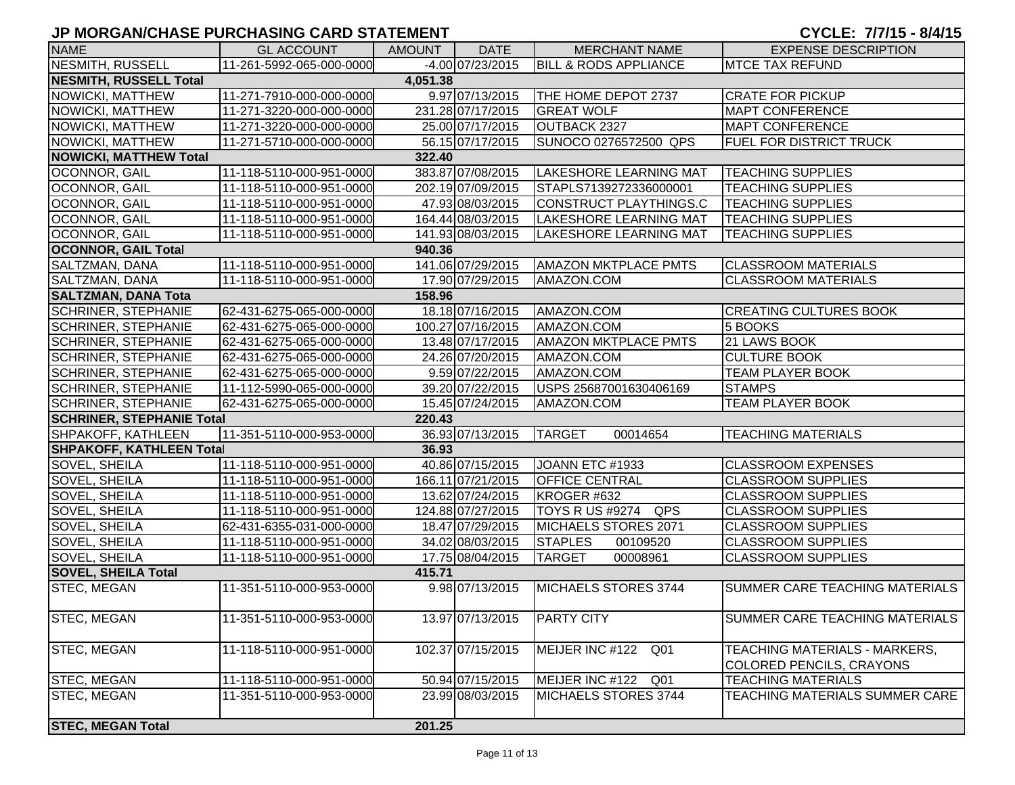| <b>NAME</b>                      | <b>GL ACCOUNT</b>        | AMOUNT   | <b>DATE</b>       | <b>MERCHANT NAME</b>             | <b>EXPENSE DESCRIPTION</b>                                |
|----------------------------------|--------------------------|----------|-------------------|----------------------------------|-----------------------------------------------------------|
| <b>NESMITH, RUSSELL</b>          | 11-261-5992-065-000-0000 |          | -4.00 07/23/2015  | <b>BILL &amp; RODS APPLIANCE</b> | <b>MTCE TAX REFUND</b>                                    |
| <b>NESMITH, RUSSELL Total</b>    |                          | 4,051.38 |                   |                                  |                                                           |
| NOWICKI, MATTHEW                 | 11-271-7910-000-000-0000 |          | 9.97 07/13/2015   | THE HOME DEPOT 2737              | <b>CRATE FOR PICKUP</b>                                   |
| NOWICKI, MATTHEW                 | 11-271-3220-000-000-0000 |          | 231.28 07/17/2015 | <b>GREAT WOLF</b>                | <b>MAPT CONFERENCE</b>                                    |
| NOWICKI, MATTHEW                 | 11-271-3220-000-000-0000 |          | 25.00 07/17/2015  | OUTBACK 2327                     | <b>MAPT CONFERENCE</b>                                    |
| NOWICKI, MATTHEW                 | 11-271-5710-000-000-0000 |          | 56.15 07/17/2015  | SUNOCO 0276572500 QPS            | <b>FUEL FOR DISTRICT TRUCK</b>                            |
| <b>NOWICKI, MATTHEW Total</b>    |                          | 322.40   |                   |                                  |                                                           |
| OCONNOR, GAIL                    | 11-118-5110-000-951-0000 |          | 383.87 07/08/2015 | LAKESHORE LEARNING MAT           | <b>TEACHING SUPPLIES</b>                                  |
| OCONNOR, GAIL                    | 11-118-5110-000-951-0000 |          | 202.19 07/09/2015 | STAPLS7139272336000001           | <b>TEACHING SUPPLIES</b>                                  |
| OCONNOR, GAIL                    | 11-118-5110-000-951-0000 |          | 47.93 08/03/2015  | <b>CONSTRUCT PLAYTHINGS.C</b>    | <b>TEACHING SUPPLIES</b>                                  |
| OCONNOR, GAIL                    | 11-118-5110-000-951-0000 |          | 164.44 08/03/2015 | LAKESHORE LEARNING MAT           | <b>TEACHING SUPPLIES</b>                                  |
| OCONNOR, GAIL                    | 11-118-5110-000-951-0000 |          | 141.93 08/03/2015 | <b>LAKESHORE LEARNING MAT</b>    | <b>TEACHING SUPPLIES</b>                                  |
| <b>OCONNOR, GAIL Total</b>       |                          | 940.36   |                   |                                  |                                                           |
| SALTZMAN, DANA                   | 11-118-5110-000-951-0000 |          | 141.06 07/29/2015 | <b>AMAZON MKTPLACE PMTS</b>      | <b>CLASSROOM MATERIALS</b>                                |
| SALTZMAN, DANA                   | 11-118-5110-000-951-0000 |          | 17.90 07/29/2015  | AMAZON.COM                       | <b>CLASSROOM MATERIALS</b>                                |
| <b>SALTZMAN, DANA Tota</b>       |                          | 158.96   |                   |                                  |                                                           |
| <b>SCHRINER, STEPHANIE</b>       | 62-431-6275-065-000-0000 |          | 18.18 07/16/2015  | AMAZON.COM                       | <b>CREATING CULTURES BOOK</b>                             |
| <b>SCHRINER, STEPHANIE</b>       | 62-431-6275-065-000-0000 |          | 100.27 07/16/2015 | AMAZON.COM                       | 5 BOOKS                                                   |
| <b>SCHRINER, STEPHANIE</b>       | 62-431-6275-065-000-0000 |          | 13.48 07/17/2015  | <b>AMAZON MKTPLACE PMTS</b>      | 21 LAWS BOOK                                              |
| <b>SCHRINER, STEPHANIE</b>       | 62-431-6275-065-000-0000 |          | 24.26 07/20/2015  | AMAZON.COM                       | <b>CULTURE BOOK</b>                                       |
| <b>SCHRINER, STEPHANIE</b>       | 62-431-6275-065-000-0000 |          | 9.5907/22/2015    | AMAZON.COM                       | <b>TEAM PLAYER BOOK</b>                                   |
| <b>SCHRINER, STEPHANIE</b>       | 11-112-5990-065-000-0000 |          | 39.20 07/22/2015  | USPS 25687001630406169           | <b>STAMPS</b>                                             |
| <b>SCHRINER, STEPHANIE</b>       | 62-431-6275-065-000-0000 |          | 15.45 07/24/2015  | AMAZON.COM                       | <b>TEAM PLAYER BOOK</b>                                   |
| <b>SCHRINER, STEPHANIE Total</b> |                          | 220.43   |                   |                                  |                                                           |
| <b>SHPAKOFF, KATHLEEN</b>        | 11-351-5110-000-953-0000 |          | 36.93 07/13/2015  | <b>TARGET</b><br>00014654        | <b>TEACHING MATERIALS</b>                                 |
| <b>SHPAKOFF, KATHLEEN Total</b>  |                          | 36.93    |                   |                                  |                                                           |
| SOVEL, SHEILA                    | 11-118-5110-000-951-0000 |          | 40.86 07/15/2015  | JOANN ETC #1933                  | <b>CLASSROOM EXPENSES</b>                                 |
| SOVEL, SHEILA                    | 11-118-5110-000-951-0000 |          | 166.11 07/21/2015 | <b>OFFICE CENTRAL</b>            | <b>CLASSROOM SUPPLIES</b>                                 |
| SOVEL, SHEILA                    | 11-118-5110-000-951-0000 |          | 13.62 07/24/2015  | KROGER #632                      | <b>CLASSROOM SUPPLIES</b>                                 |
| SOVEL, SHEILA                    | 11-118-5110-000-951-0000 |          | 124.88 07/27/2015 | TOYS R US #9274 QPS              | <b>CLASSROOM SUPPLIES</b>                                 |
| SOVEL, SHEILA                    | 62-431-6355-031-000-0000 |          | 18.47 07/29/2015  | MICHAELS STORES 2071             | <b>CLASSROOM SUPPLIES</b>                                 |
| SOVEL, SHEILA                    | 11-118-5110-000-951-0000 |          | 34.02 08/03/2015  | <b>STAPLES</b><br>00109520       | <b>CLASSROOM SUPPLIES</b>                                 |
| SOVEL, SHEILA                    | 11-118-5110-000-951-0000 |          | 17.75 08/04/2015  | <b>TARGET</b><br>00008961        | <b>CLASSROOM SUPPLIES</b>                                 |
| <b>SOVEL, SHEILA Total</b>       |                          | 415.71   |                   |                                  |                                                           |
| STEC, MEGAN                      | 11-351-5110-000-953-0000 |          | 9.98 07/13/2015   | MICHAELS STORES 3744             | <b>SUMMER CARE TEACHING MATERIALS</b>                     |
| <b>STEC, MEGAN</b>               | 11-351-5110-000-953-0000 |          | 13.97 07/13/2015  | <b>PARTY CITY</b>                | <b>SUMMER CARE TEACHING MATERIALS</b>                     |
| STEC, MEGAN                      | 11-118-5110-000-951-0000 |          | 102.37 07/15/2015 | MEIJER INC #122<br>Q01           | TEACHING MATERIALS - MARKERS,<br>COLORED PENCILS, CRAYONS |
| STEC, MEGAN                      | 11-118-5110-000-951-0000 |          | 50.94 07/15/2015  | MEIJER INC #122<br>Q01           | <b>TEACHING MATERIALS</b>                                 |
| STEC, MEGAN                      | 11-351-5110-000-953-0000 |          | 23.99 08/03/2015  | MICHAELS STORES 3744             | TEACHING MATERIALS SUMMER CARE                            |
| <b>STEC, MEGAN Total</b>         |                          | 201.25   |                   |                                  |                                                           |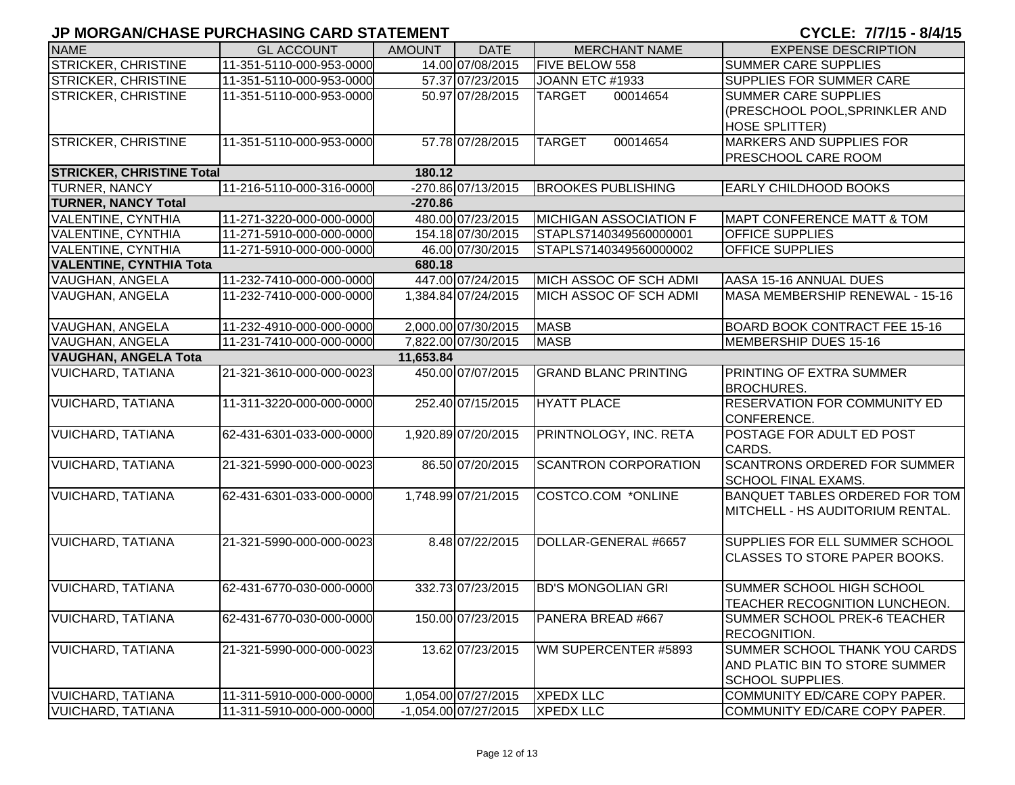#### **JP MORGAN/CHASE PURCHASING CARD STATEMENT**

CYCLE: 7/7/15 - 8/4/15

| <b>NAME</b>                      | <b>GL ACCOUNT</b>        | <b>AMOUNT</b> | <b>DATE</b>          | <b>MERCHANT NAME</b>          | <b>EXPENSE DESCRIPTION</b>                                                          |
|----------------------------------|--------------------------|---------------|----------------------|-------------------------------|-------------------------------------------------------------------------------------|
| STRICKER, CHRISTINE              | 11-351-5110-000-953-0000 |               | 14.00 07/08/2015     | FIVE BELOW 558                | <b>SUMMER CARE SUPPLIES</b>                                                         |
| <b>STRICKER, CHRISTINE</b>       | 11-351-5110-000-953-0000 |               | 57.37 07/23/2015     | JOANN ETC #1933               | SUPPLIES FOR SUMMER CARE                                                            |
| STRICKER, CHRISTINE              | 11-351-5110-000-953-0000 |               | 50.97 07/28/2015     | 00014654<br><b>TARGET</b>     | <b>SUMMER CARE SUPPLIES</b>                                                         |
|                                  |                          |               |                      |                               | (PRESCHOOL POOL, SPRINKLER AND                                                      |
|                                  |                          |               |                      |                               | <b>HOSE SPLITTER)</b>                                                               |
| <b>STRICKER, CHRISTINE</b>       | 11-351-5110-000-953-0000 |               | 57.78 07/28/2015     | <b>TARGET</b><br>00014654     | MARKERS AND SUPPLIES FOR                                                            |
|                                  |                          |               |                      |                               | PRESCHOOL CARE ROOM                                                                 |
| <b>STRICKER, CHRISTINE Total</b> |                          | 180.12        |                      |                               |                                                                                     |
| TURNER, NANCY                    | 11-216-5110-000-316-0000 |               | -270.86 07/13/2015   | <b>BROOKES PUBLISHING</b>     | <b>EARLY CHILDHOOD BOOKS</b>                                                        |
| <b>TURNER, NANCY Total</b>       |                          | $-270.86$     |                      |                               |                                                                                     |
| VALENTINE, CYNTHIA               | 11-271-3220-000-000-0000 |               | 480.00 07/23/2015    | <b>MICHIGAN ASSOCIATION F</b> | <b>MAPT CONFERENCE MATT &amp; TOM</b>                                               |
| <b>VALENTINE, CYNTHIA</b>        | 11-271-5910-000-000-0000 |               | 154.18 07/30/2015    | STAPLS7140349560000001        | <b>OFFICE SUPPLIES</b>                                                              |
| <b>VALENTINE, CYNTHIA</b>        | 11-271-5910-000-000-0000 |               | 46.00 07/30/2015     | STAPLS7140349560000002        | OFFICE SUPPLIES                                                                     |
| <b>VALENTINE, CYNTHIA Tota</b>   |                          | 680.18        |                      |                               |                                                                                     |
| VAUGHAN, ANGELA                  | 11-232-7410-000-000-0000 |               | 447.00 07/24/2015    | MICH ASSOC OF SCH ADMI        | AASA 15-16 ANNUAL DUES                                                              |
| VAUGHAN, ANGELA                  | 11-232-7410-000-000-0000 |               | 1,384.84 07/24/2015  | MICH ASSOC OF SCH ADMI        | MASA MEMBERSHIP RENEWAL - 15-16                                                     |
| VAUGHAN, ANGELA                  | 11-232-4910-000-000-0000 |               | 2,000.00 07/30/2015  | <b>MASB</b>                   | <b>BOARD BOOK CONTRACT FEE 15-16</b>                                                |
| VAUGHAN, ANGELA                  | 11-231-7410-000-000-0000 |               | 7,822.00 07/30/2015  | <b>MASB</b>                   | MEMBERSHIP DUES 15-16                                                               |
| <b>VAUGHAN, ANGELA Tota</b>      |                          | 11,653.84     |                      |                               |                                                                                     |
| <b>VUICHARD, TATIANA</b>         | 21-321-3610-000-000-0023 |               | 450.00 07/07/2015    | <b>GRAND BLANC PRINTING</b>   | PRINTING OF EXTRA SUMMER<br><b>BROCHURES.</b>                                       |
| VUICHARD, TATIANA                | 11-311-3220-000-000-0000 |               | 252.40 07/15/2015    | <b>HYATT PLACE</b>            | <b>RESERVATION FOR COMMUNITY ED</b><br>CONFERENCE.                                  |
| VUICHARD, TATIANA                | 62-431-6301-033-000-0000 |               | 1,920.89 07/20/2015  | PRINTNOLOGY, INC. RETA        | POSTAGE FOR ADULT ED POST<br>CARDS.                                                 |
| VUICHARD, TATIANA                | 21-321-5990-000-000-0023 |               | 86.50 07/20/2015     | <b>SCANTRON CORPORATION</b>   | <b>SCANTRONS ORDERED FOR SUMMER</b><br>SCHOOL FINAL EXAMS.                          |
| VUICHARD, TATIANA                | 62-431-6301-033-000-0000 |               | 1,748.99 07/21/2015  | COSTCO.COM *ONLINE            | BANQUET TABLES ORDERED FOR TOM<br>MITCHELL - HS AUDITORIUM RENTAL.                  |
| <b>VUICHARD, TATIANA</b>         | 21-321-5990-000-000-0023 |               | 8.48 07/22/2015      | DOLLAR-GENERAL #6657          | SUPPLIES FOR ELL SUMMER SCHOOL<br><b>CLASSES TO STORE PAPER BOOKS.</b>              |
| <b>VUICHARD, TATIANA</b>         | 62-431-6770-030-000-0000 |               | 332.73 07/23/2015    | <b>BD'S MONGOLIAN GRI</b>     | SUMMER SCHOOL HIGH SCHOOL<br>TEACHER RECOGNITION LUNCHEON.                          |
| <b>VUICHARD, TATIANA</b>         | 62-431-6770-030-000-0000 |               | 150.00 07/23/2015    | PANERA BREAD #667             | SUMMER SCHOOL PREK-6 TEACHER<br>RECOGNITION.                                        |
| <b>VUICHARD, TATIANA</b>         | 21-321-5990-000-000-0023 |               | 13.62 07/23/2015     | WM SUPERCENTER #5893          | SUMMER SCHOOL THANK YOU CARDS<br>AND PLATIC BIN TO STORE SUMMER<br>SCHOOL SUPPLIES. |
| <b>VUICHARD, TATIANA</b>         | 11-311-5910-000-000-0000 |               | 1,054.00 07/27/2015  | <b>XPEDX LLC</b>              | COMMUNITY ED/CARE COPY PAPER.                                                       |
| <b>VUICHARD, TATIANA</b>         | 11-311-5910-000-000-0000 |               | -1,054.00 07/27/2015 | <b>XPEDX LLC</b>              | COMMUNITY ED/CARE COPY PAPER.                                                       |